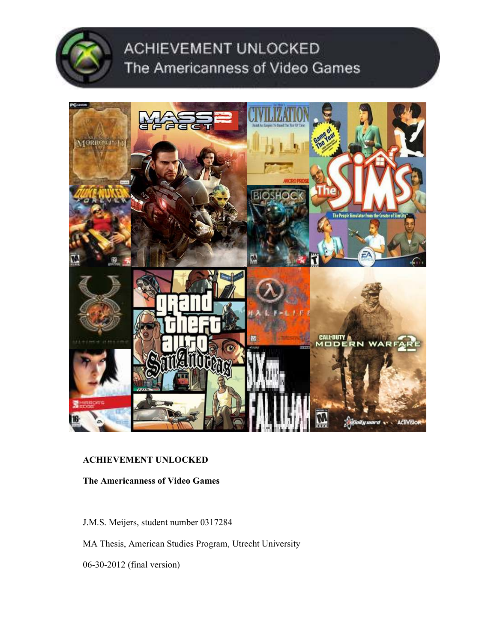

# ACHIEVEMENT UNLOCKED The Americanness of Video Games



## **ACHIEVEMENT UNLOCKED**

### **The Americanness of Video Games**

J.M.S. Meijers, student number 0317284

MA Thesis, American Studies Program, Utrecht University

06-30-2012 (final version)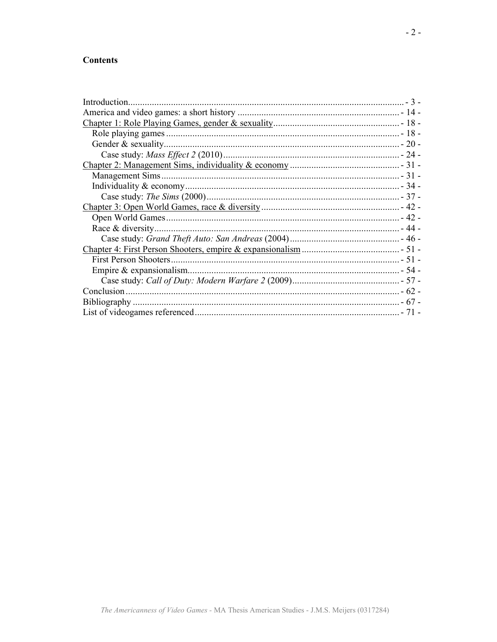# **Contents**

| Introduction. |  |
|---------------|--|
|               |  |
|               |  |
|               |  |
|               |  |
|               |  |
|               |  |
|               |  |
|               |  |
|               |  |
|               |  |
|               |  |
|               |  |
|               |  |
|               |  |
|               |  |
|               |  |
|               |  |
|               |  |
|               |  |
|               |  |
|               |  |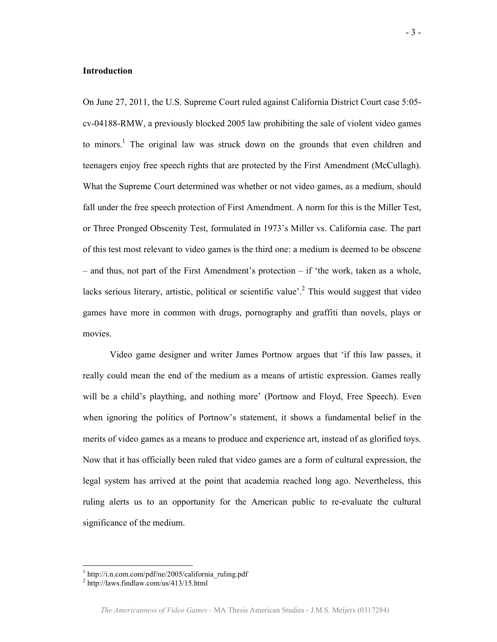#### **Introduction**

On June 27, 2011, the U.S. Supreme Court ruled against California District Court case 5:05 cv-04188-RMW, a previously blocked 2005 law prohibiting the sale of violent video games to minors.<sup>1</sup> The original law was struck down on the grounds that even children and teenagers enjoy free speech rights that are protected by the First Amendment (McCullagh). What the Supreme Court determined was whether or not video games, as a medium, should fall under the free speech protection of First Amendment. A norm for this is the Miller Test, or Three Pronged Obscenity Test, formulated in 1973's Miller vs. California case. The part of this test most relevant to video games is the third one: a medium is deemed to be obscene – and thus, not part of the First Amendment's protection – if 'the work, taken as a whole, lacks serious literary, artistic, political or scientific value'.<sup>2</sup> This would suggest that video games have more in common with drugs, pornography and graffiti than novels, plays or movies.

Video game designer and writer James Portnow argues that 'if this law passes, it really could mean the end of the medium as a means of artistic expression. Games really will be a child's plaything, and nothing more' (Portnow and Floyd, Free Speech). Even when ignoring the politics of Portnow's statement, it shows a fundamental belief in the merits of video games as a means to produce and experience art, instead of as glorified toys. Now that it has officially been ruled that video games are a form of cultural expression, the legal system has arrived at the point that academia reached long ago. Nevertheless, this ruling alerts us to an opportunity for the American public to re-evaluate the cultural significance of the medium.

 $\overline{a}$ 

<sup>1</sup> http://i.n.com.com/pdf/ne/2005/california\_ruling.pdf

<sup>2</sup> http://laws.findlaw.com/us/413/15.html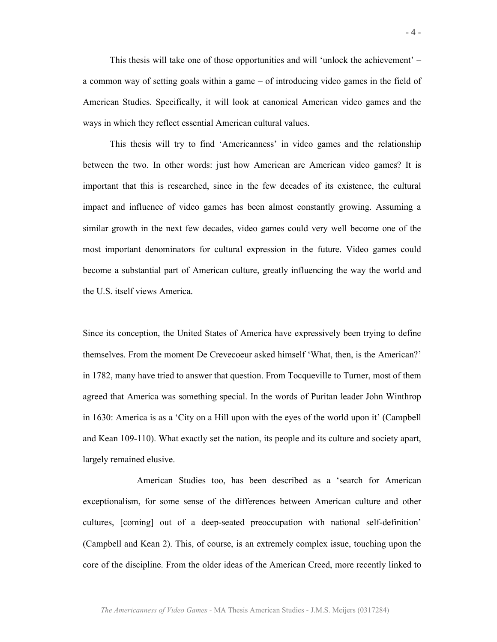This thesis will take one of those opportunities and will 'unlock the achievement' – a common way of setting goals within a game – of introducing video games in the field of American Studies. Specifically, it will look at canonical American video games and the ways in which they reflect essential American cultural values.

This thesis will try to find 'Americanness' in video games and the relationship between the two. In other words: just how American are American video games? It is important that this is researched, since in the few decades of its existence, the cultural impact and influence of video games has been almost constantly growing. Assuming a similar growth in the next few decades, video games could very well become one of the most important denominators for cultural expression in the future. Video games could become a substantial part of American culture, greatly influencing the way the world and the U.S. itself views America.

Since its conception, the United States of America have expressively been trying to define themselves. From the moment De Crevecoeur asked himself 'What, then, is the American?' in 1782, many have tried to answer that question. From Tocqueville to Turner, most of them agreed that America was something special. In the words of Puritan leader John Winthrop in 1630: America is as a 'City on a Hill upon with the eyes of the world upon it' (Campbell and Kean 109-110). What exactly set the nation, its people and its culture and society apart, largely remained elusive.

 American Studies too, has been described as a 'search for American exceptionalism, for some sense of the differences between American culture and other cultures, [coming] out of a deep-seated preoccupation with national self-definition' (Campbell and Kean 2). This, of course, is an extremely complex issue, touching upon the core of the discipline. From the older ideas of the American Creed, more recently linked to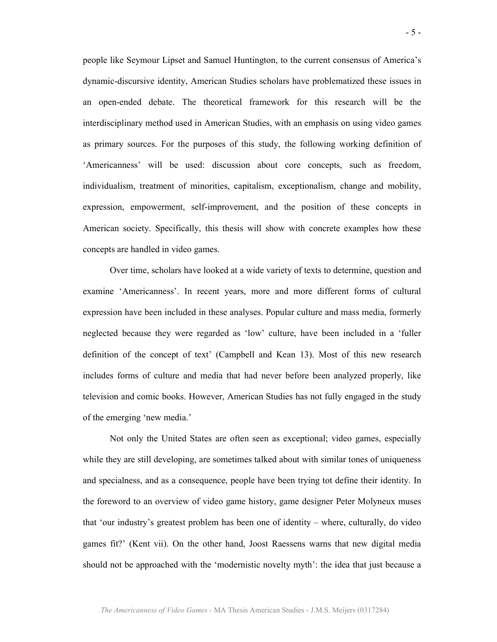people like Seymour Lipset and Samuel Huntington, to the current consensus of America's dynamic-discursive identity, American Studies scholars have problematized these issues in an open-ended debate. The theoretical framework for this research will be the interdisciplinary method used in American Studies, with an emphasis on using video games as primary sources. For the purposes of this study, the following working definition of 'Americanness' will be used: discussion about core concepts, such as freedom, individualism, treatment of minorities, capitalism, exceptionalism, change and mobility, expression, empowerment, self-improvement, and the position of these concepts in American society. Specifically, this thesis will show with concrete examples how these concepts are handled in video games.

Over time, scholars have looked at a wide variety of texts to determine, question and examine 'Americanness'. In recent years, more and more different forms of cultural expression have been included in these analyses. Popular culture and mass media, formerly neglected because they were regarded as 'low' culture, have been included in a 'fuller definition of the concept of text' (Campbell and Kean 13). Most of this new research includes forms of culture and media that had never before been analyzed properly, like television and comic books. However, American Studies has not fully engaged in the study of the emerging 'new media.'

 Not only the United States are often seen as exceptional; video games, especially while they are still developing, are sometimes talked about with similar tones of uniqueness and specialness, and as a consequence, people have been trying tot define their identity. In the foreword to an overview of video game history, game designer Peter Molyneux muses that 'our industry's greatest problem has been one of identity – where, culturally, do video games fit?' (Kent vii). On the other hand, Joost Raessens warns that new digital media should not be approached with the 'modernistic novelty myth': the idea that just because a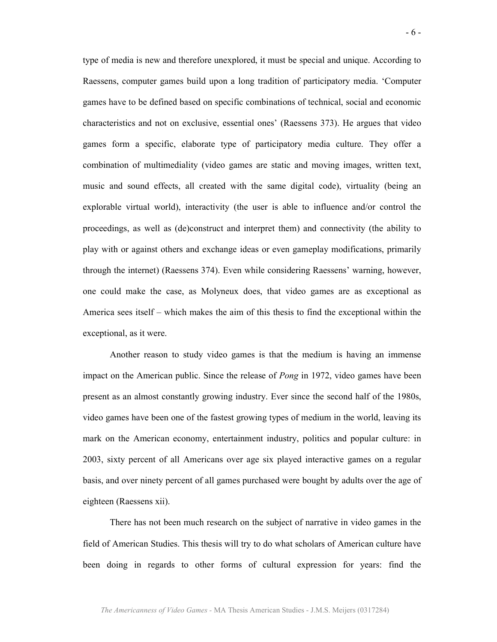type of media is new and therefore unexplored, it must be special and unique. According to Raessens, computer games build upon a long tradition of participatory media. 'Computer games have to be defined based on specific combinations of technical, social and economic characteristics and not on exclusive, essential ones' (Raessens 373). He argues that video games form a specific, elaborate type of participatory media culture. They offer a combination of multimediality (video games are static and moving images, written text, music and sound effects, all created with the same digital code), virtuality (being an explorable virtual world), interactivity (the user is able to influence and/or control the proceedings, as well as (de)construct and interpret them) and connectivity (the ability to play with or against others and exchange ideas or even gameplay modifications, primarily through the internet) (Raessens 374). Even while considering Raessens' warning, however, one could make the case, as Molyneux does, that video games are as exceptional as America sees itself – which makes the aim of this thesis to find the exceptional within the exceptional, as it were.

Another reason to study video games is that the medium is having an immense impact on the American public. Since the release of *Pong* in 1972, video games have been present as an almost constantly growing industry. Ever since the second half of the 1980s, video games have been one of the fastest growing types of medium in the world, leaving its mark on the American economy, entertainment industry, politics and popular culture: in 2003, sixty percent of all Americans over age six played interactive games on a regular basis, and over ninety percent of all games purchased were bought by adults over the age of eighteen (Raessens xii).

There has not been much research on the subject of narrative in video games in the field of American Studies. This thesis will try to do what scholars of American culture have been doing in regards to other forms of cultural expression for years: find the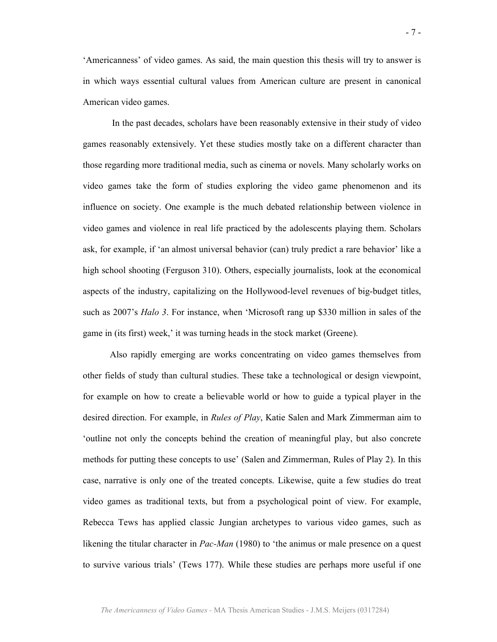'Americanness' of video games. As said, the main question this thesis will try to answer is in which ways essential cultural values from American culture are present in canonical American video games.

 In the past decades, scholars have been reasonably extensive in their study of video games reasonably extensively. Yet these studies mostly take on a different character than those regarding more traditional media, such as cinema or novels. Many scholarly works on video games take the form of studies exploring the video game phenomenon and its influence on society. One example is the much debated relationship between violence in video games and violence in real life practiced by the adolescents playing them. Scholars ask, for example, if 'an almost universal behavior (can) truly predict a rare behavior' like a high school shooting (Ferguson 310). Others, especially journalists, look at the economical aspects of the industry, capitalizing on the Hollywood-level revenues of big-budget titles, such as 2007's *Halo 3*. For instance, when 'Microsoft rang up \$330 million in sales of the game in (its first) week,' it was turning heads in the stock market (Greene).

Also rapidly emerging are works concentrating on video games themselves from other fields of study than cultural studies. These take a technological or design viewpoint, for example on how to create a believable world or how to guide a typical player in the desired direction. For example, in *Rules of Play*, Katie Salen and Mark Zimmerman aim to 'outline not only the concepts behind the creation of meaningful play, but also concrete methods for putting these concepts to use' (Salen and Zimmerman, Rules of Play 2). In this case, narrative is only one of the treated concepts. Likewise, quite a few studies do treat video games as traditional texts, but from a psychological point of view. For example, Rebecca Tews has applied classic Jungian archetypes to various video games, such as likening the titular character in *Pac-Man* (1980) to 'the animus or male presence on a quest to survive various trials' (Tews 177). While these studies are perhaps more useful if one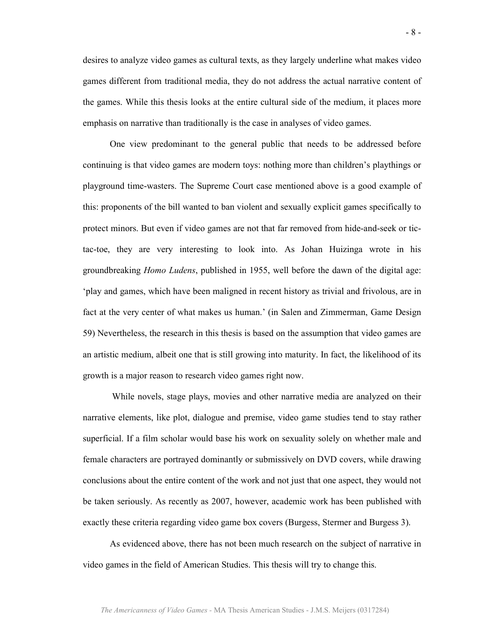desires to analyze video games as cultural texts, as they largely underline what makes video games different from traditional media, they do not address the actual narrative content of the games. While this thesis looks at the entire cultural side of the medium, it places more emphasis on narrative than traditionally is the case in analyses of video games.

One view predominant to the general public that needs to be addressed before continuing is that video games are modern toys: nothing more than children's playthings or playground time-wasters. The Supreme Court case mentioned above is a good example of this: proponents of the bill wanted to ban violent and sexually explicit games specifically to protect minors. But even if video games are not that far removed from hide-and-seek or tictac-toe, they are very interesting to look into. As Johan Huizinga wrote in his groundbreaking *Homo Ludens*, published in 1955, well before the dawn of the digital age: 'play and games, which have been maligned in recent history as trivial and frivolous, are in fact at the very center of what makes us human.' (in Salen and Zimmerman, Game Design 59) Nevertheless, the research in this thesis is based on the assumption that video games are an artistic medium, albeit one that is still growing into maturity. In fact, the likelihood of its growth is a major reason to research video games right now.

 While novels, stage plays, movies and other narrative media are analyzed on their narrative elements, like plot, dialogue and premise, video game studies tend to stay rather superficial. If a film scholar would base his work on sexuality solely on whether male and female characters are portrayed dominantly or submissively on DVD covers, while drawing conclusions about the entire content of the work and not just that one aspect, they would not be taken seriously. As recently as 2007, however, academic work has been published with exactly these criteria regarding video game box covers (Burgess, Stermer and Burgess 3).

As evidenced above, there has not been much research on the subject of narrative in video games in the field of American Studies. This thesis will try to change this.

- 8 -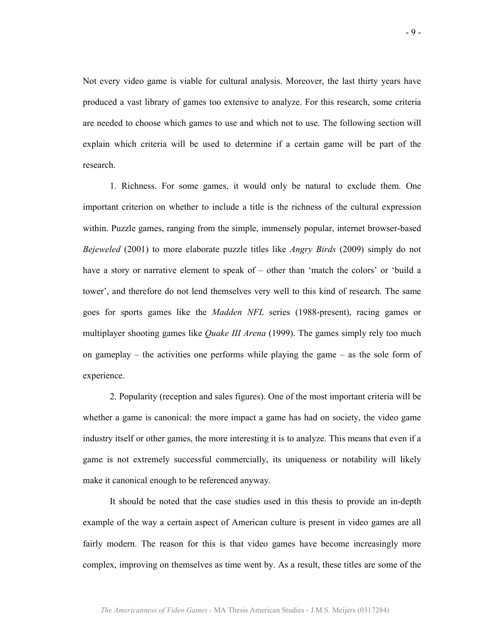Not every video game is viable for cultural analysis. Moreover, the last thirty years have produced a vast library of games too extensive to analyze. For this research, some criteria are needed to choose which games to use and which not to use. The following section will explain which criteria will be used to determine if a certain game will be part of the research.

1. Richness. For some games, it would only be natural to exclude them. One important criterion on whether to include a title is the richness of the cultural expression within. Puzzle games, ranging from the simple, immensely popular, internet browser-based *Bejeweled* (2001) to more elaborate puzzle titles like *Angry Birds* (2009) simply do not have a story or narrative element to speak of – other than 'match the colors' or 'build a tower', and therefore do not lend themselves very well to this kind of research. The same goes for sports games like the *Madden NFL* series (1988-present), racing games or multiplayer shooting games like *Quake III Arena* (1999). The games simply rely too much on gameplay – the activities one performs while playing the game – as the sole form of experience.

2. Popularity (reception and sales figures). One of the most important criteria will be whether a game is canonical: the more impact a game has had on society, the video game industry itself or other games, the more interesting it is to analyze. This means that even if a game is not extremely successful commercially, its uniqueness or notability will likely make it canonical enough to be referenced anyway.

It should be noted that the case studies used in this thesis to provide an in-depth example of the way a certain aspect of American culture is present in video games are all fairly modern. The reason for this is that video games have become increasingly more complex, improving on themselves as time went by. As a result, these titles are some of the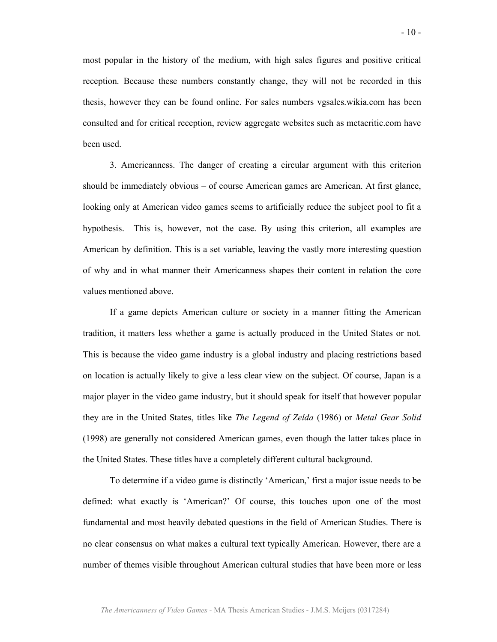most popular in the history of the medium, with high sales figures and positive critical reception. Because these numbers constantly change, they will not be recorded in this thesis, however they can be found online. For sales numbers vgsales.wikia.com has been consulted and for critical reception, review aggregate websites such as metacritic.com have been used.

3. Americanness. The danger of creating a circular argument with this criterion should be immediately obvious – of course American games are American. At first glance, looking only at American video games seems to artificially reduce the subject pool to fit a hypothesis. This is, however, not the case. By using this criterion, all examples are American by definition. This is a set variable, leaving the vastly more interesting question of why and in what manner their Americanness shapes their content in relation the core values mentioned above.

If a game depicts American culture or society in a manner fitting the American tradition, it matters less whether a game is actually produced in the United States or not. This is because the video game industry is a global industry and placing restrictions based on location is actually likely to give a less clear view on the subject. Of course, Japan is a major player in the video game industry, but it should speak for itself that however popular they are in the United States, titles like *The Legend of Zelda* (1986) or *Metal Gear Solid* (1998) are generally not considered American games, even though the latter takes place in the United States. These titles have a completely different cultural background.

To determine if a video game is distinctly 'American,' first a major issue needs to be defined: what exactly is 'American?' Of course, this touches upon one of the most fundamental and most heavily debated questions in the field of American Studies. There is no clear consensus on what makes a cultural text typically American. However, there are a number of themes visible throughout American cultural studies that have been more or less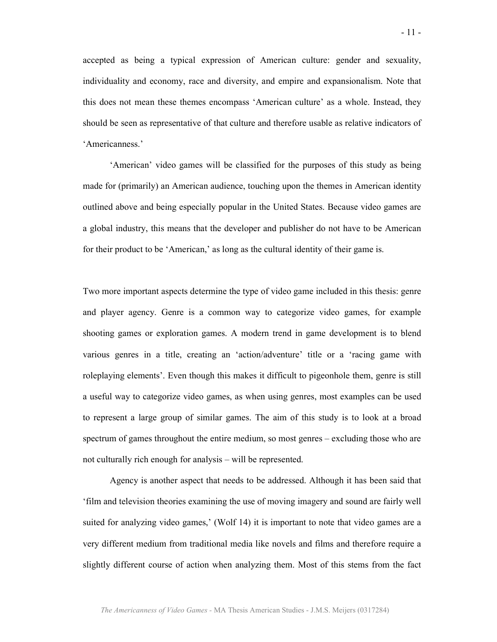accepted as being a typical expression of American culture: gender and sexuality, individuality and economy, race and diversity, and empire and expansionalism. Note that this does not mean these themes encompass 'American culture' as a whole. Instead, they should be seen as representative of that culture and therefore usable as relative indicators of 'Americanness.'

'American' video games will be classified for the purposes of this study as being made for (primarily) an American audience, touching upon the themes in American identity outlined above and being especially popular in the United States. Because video games are a global industry, this means that the developer and publisher do not have to be American for their product to be 'American,' as long as the cultural identity of their game is.

Two more important aspects determine the type of video game included in this thesis: genre and player agency. Genre is a common way to categorize video games, for example shooting games or exploration games. A modern trend in game development is to blend various genres in a title, creating an 'action/adventure' title or a 'racing game with roleplaying elements'. Even though this makes it difficult to pigeonhole them, genre is still a useful way to categorize video games, as when using genres, most examples can be used to represent a large group of similar games. The aim of this study is to look at a broad spectrum of games throughout the entire medium, so most genres – excluding those who are not culturally rich enough for analysis – will be represented.

Agency is another aspect that needs to be addressed. Although it has been said that 'film and television theories examining the use of moving imagery and sound are fairly well suited for analyzing video games,' (Wolf 14) it is important to note that video games are a very different medium from traditional media like novels and films and therefore require a slightly different course of action when analyzing them. Most of this stems from the fact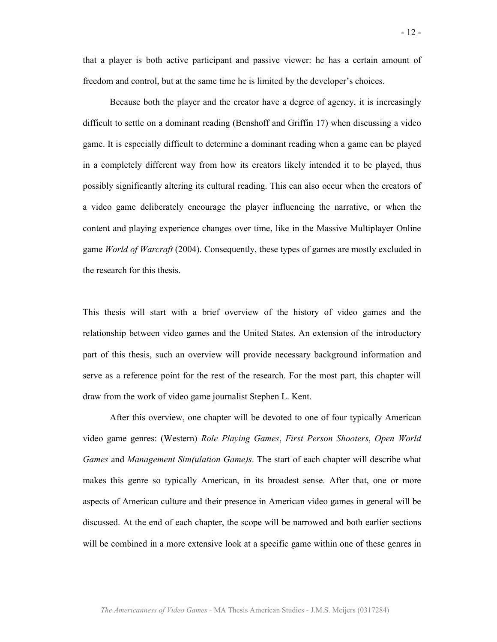that a player is both active participant and passive viewer: he has a certain amount of freedom and control, but at the same time he is limited by the developer's choices.

Because both the player and the creator have a degree of agency, it is increasingly difficult to settle on a dominant reading (Benshoff and Griffin 17) when discussing a video game. It is especially difficult to determine a dominant reading when a game can be played in a completely different way from how its creators likely intended it to be played, thus possibly significantly altering its cultural reading. This can also occur when the creators of a video game deliberately encourage the player influencing the narrative, or when the content and playing experience changes over time, like in the Massive Multiplayer Online game *World of Warcraft* (2004). Consequently, these types of games are mostly excluded in the research for this thesis.

This thesis will start with a brief overview of the history of video games and the relationship between video games and the United States. An extension of the introductory part of this thesis, such an overview will provide necessary background information and serve as a reference point for the rest of the research. For the most part, this chapter will draw from the work of video game journalist Stephen L. Kent.

After this overview, one chapter will be devoted to one of four typically American video game genres: (Western) *Role Playing Games*, *First Person Shooters*, *Open World Games* and *Management Sim(ulation Game)s*. The start of each chapter will describe what makes this genre so typically American, in its broadest sense. After that, one or more aspects of American culture and their presence in American video games in general will be discussed. At the end of each chapter, the scope will be narrowed and both earlier sections will be combined in a more extensive look at a specific game within one of these genres in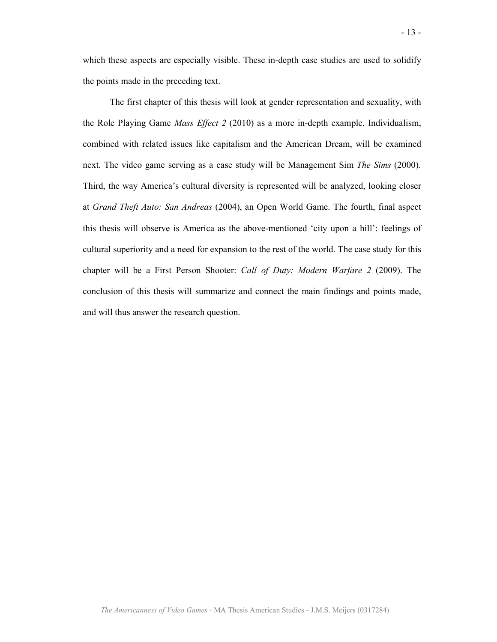which these aspects are especially visible. These in-depth case studies are used to solidify the points made in the preceding text.

The first chapter of this thesis will look at gender representation and sexuality, with the Role Playing Game *Mass Effect 2* (2010) as a more in-depth example. Individualism, combined with related issues like capitalism and the American Dream, will be examined next. The video game serving as a case study will be Management Sim *The Sims* (2000). Third, the way America's cultural diversity is represented will be analyzed, looking closer at *Grand Theft Auto: San Andreas* (2004), an Open World Game. The fourth, final aspect this thesis will observe is America as the above-mentioned 'city upon a hill': feelings of cultural superiority and a need for expansion to the rest of the world. The case study for this chapter will be a First Person Shooter: *Call of Duty: Modern Warfare 2* (2009). The conclusion of this thesis will summarize and connect the main findings and points made, and will thus answer the research question.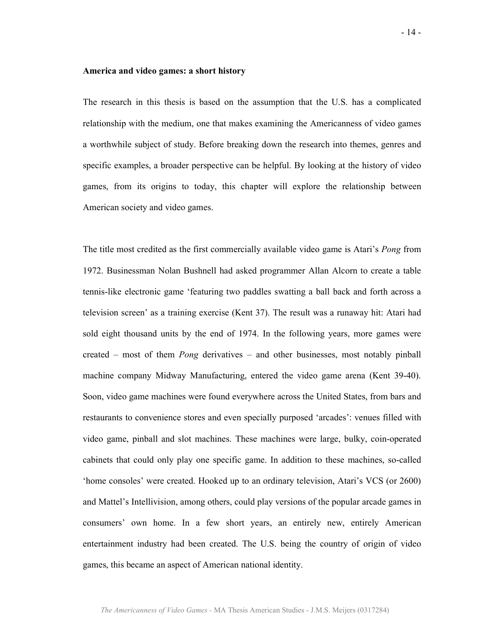#### **America and video games: a short history**

The research in this thesis is based on the assumption that the U.S. has a complicated relationship with the medium, one that makes examining the Americanness of video games a worthwhile subject of study. Before breaking down the research into themes, genres and specific examples, a broader perspective can be helpful. By looking at the history of video games, from its origins to today, this chapter will explore the relationship between American society and video games.

The title most credited as the first commercially available video game is Atari's *Pong* from 1972. Businessman Nolan Bushnell had asked programmer Allan Alcorn to create a table tennis-like electronic game 'featuring two paddles swatting a ball back and forth across a television screen' as a training exercise (Kent 37). The result was a runaway hit: Atari had sold eight thousand units by the end of 1974. In the following years, more games were created – most of them *Pong* derivatives – and other businesses, most notably pinball machine company Midway Manufacturing, entered the video game arena (Kent 39-40). Soon, video game machines were found everywhere across the United States, from bars and restaurants to convenience stores and even specially purposed 'arcades': venues filled with video game, pinball and slot machines. These machines were large, bulky, coin-operated cabinets that could only play one specific game. In addition to these machines, so-called 'home consoles' were created. Hooked up to an ordinary television, Atari's VCS (or 2600) and Mattel's Intellivision, among others, could play versions of the popular arcade games in consumers' own home. In a few short years, an entirely new, entirely American entertainment industry had been created. The U.S. being the country of origin of video games, this became an aspect of American national identity.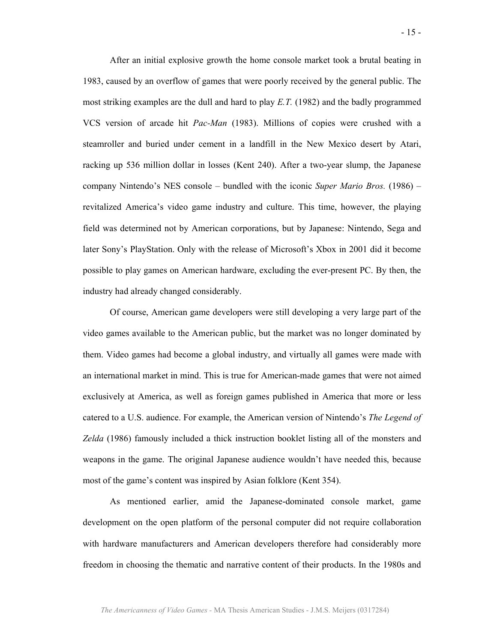After an initial explosive growth the home console market took a brutal beating in 1983, caused by an overflow of games that were poorly received by the general public. The most striking examples are the dull and hard to play *E.T.* (1982) and the badly programmed VCS version of arcade hit *Pac-Man* (1983). Millions of copies were crushed with a steamroller and buried under cement in a landfill in the New Mexico desert by Atari, racking up 536 million dollar in losses (Kent 240). After a two-year slump, the Japanese company Nintendo's NES console – bundled with the iconic *Super Mario Bros.* (1986) – revitalized America's video game industry and culture. This time, however, the playing field was determined not by American corporations, but by Japanese: Nintendo, Sega and later Sony's PlayStation. Only with the release of Microsoft's Xbox in 2001 did it become possible to play games on American hardware, excluding the ever-present PC. By then, the industry had already changed considerably.

Of course, American game developers were still developing a very large part of the video games available to the American public, but the market was no longer dominated by them. Video games had become a global industry, and virtually all games were made with an international market in mind. This is true for American-made games that were not aimed exclusively at America, as well as foreign games published in America that more or less catered to a U.S. audience. For example, the American version of Nintendo's *The Legend of Zelda* (1986) famously included a thick instruction booklet listing all of the monsters and weapons in the game. The original Japanese audience wouldn't have needed this, because most of the game's content was inspired by Asian folklore (Kent 354).

As mentioned earlier, amid the Japanese-dominated console market, game development on the open platform of the personal computer did not require collaboration with hardware manufacturers and American developers therefore had considerably more freedom in choosing the thematic and narrative content of their products. In the 1980s and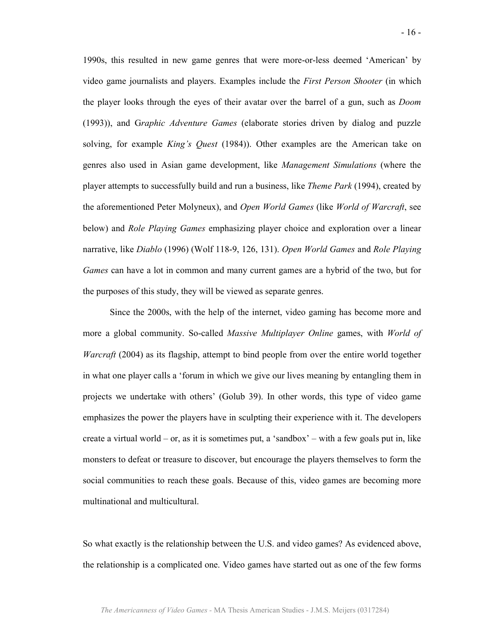1990s, this resulted in new game genres that were more-or-less deemed 'American' by video game journalists and players. Examples include the *First Person Shooter* (in which the player looks through the eyes of their avatar over the barrel of a gun, such as *Doom* (1993)), and G*raphic Adventure Games* (elaborate stories driven by dialog and puzzle solving, for example *King's Quest* (1984)). Other examples are the American take on genres also used in Asian game development, like *Management Simulations* (where the player attempts to successfully build and run a business, like *Theme Park* (1994), created by the aforementioned Peter Molyneux), and *Open World Games* (like *World of Warcraft*, see below) and *Role Playing Games* emphasizing player choice and exploration over a linear narrative, like *Diablo* (1996) (Wolf 118-9, 126, 131). *Open World Games* and *Role Playing Games* can have a lot in common and many current games are a hybrid of the two, but for the purposes of this study, they will be viewed as separate genres.

Since the 2000s, with the help of the internet, video gaming has become more and more a global community. So-called *Massive Multiplayer Online* games, with *World of Warcraft* (2004) as its flagship, attempt to bind people from over the entire world together in what one player calls a 'forum in which we give our lives meaning by entangling them in projects we undertake with others' (Golub 39). In other words, this type of video game emphasizes the power the players have in sculpting their experience with it. The developers create a virtual world – or, as it is sometimes put, a 'sandbox' – with a few goals put in, like monsters to defeat or treasure to discover, but encourage the players themselves to form the social communities to reach these goals. Because of this, video games are becoming more multinational and multicultural.

So what exactly is the relationship between the U.S. and video games? As evidenced above, the relationship is a complicated one. Video games have started out as one of the few forms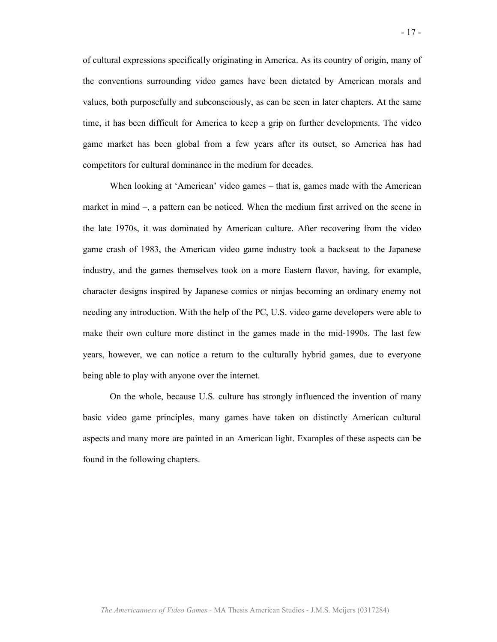of cultural expressions specifically originating in America. As its country of origin, many of the conventions surrounding video games have been dictated by American morals and values, both purposefully and subconsciously, as can be seen in later chapters. At the same time, it has been difficult for America to keep a grip on further developments. The video game market has been global from a few years after its outset, so America has had competitors for cultural dominance in the medium for decades.

When looking at 'American' video games – that is, games made with the American market in mind –, a pattern can be noticed. When the medium first arrived on the scene in the late 1970s, it was dominated by American culture. After recovering from the video game crash of 1983, the American video game industry took a backseat to the Japanese industry, and the games themselves took on a more Eastern flavor, having, for example, character designs inspired by Japanese comics or ninjas becoming an ordinary enemy not needing any introduction. With the help of the PC, U.S. video game developers were able to make their own culture more distinct in the games made in the mid-1990s. The last few years, however, we can notice a return to the culturally hybrid games, due to everyone being able to play with anyone over the internet.

On the whole, because U.S. culture has strongly influenced the invention of many basic video game principles, many games have taken on distinctly American cultural aspects and many more are painted in an American light. Examples of these aspects can be found in the following chapters.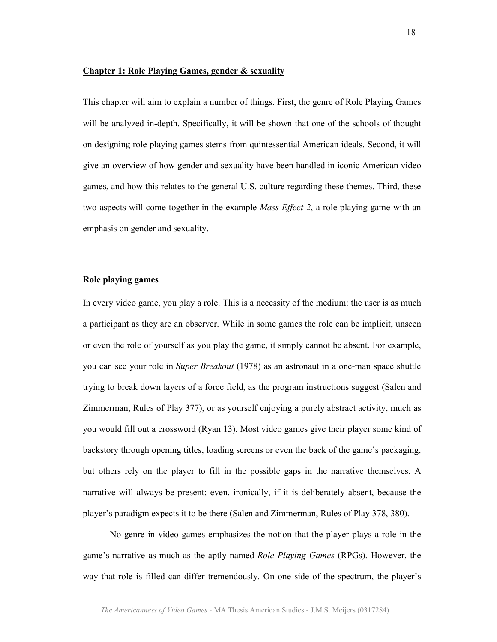#### **Chapter 1: Role Playing Games, gender & sexuality**

This chapter will aim to explain a number of things. First, the genre of Role Playing Games will be analyzed in-depth. Specifically, it will be shown that one of the schools of thought on designing role playing games stems from quintessential American ideals. Second, it will give an overview of how gender and sexuality have been handled in iconic American video games, and how this relates to the general U.S. culture regarding these themes. Third, these two aspects will come together in the example *Mass Effect 2*, a role playing game with an emphasis on gender and sexuality.

#### **Role playing games**

In every video game, you play a role. This is a necessity of the medium: the user is as much a participant as they are an observer. While in some games the role can be implicit, unseen or even the role of yourself as you play the game, it simply cannot be absent. For example, you can see your role in *Super Breakout* (1978) as an astronaut in a one-man space shuttle trying to break down layers of a force field, as the program instructions suggest (Salen and Zimmerman, Rules of Play 377), or as yourself enjoying a purely abstract activity, much as you would fill out a crossword (Ryan 13). Most video games give their player some kind of backstory through opening titles, loading screens or even the back of the game's packaging, but others rely on the player to fill in the possible gaps in the narrative themselves. A narrative will always be present; even, ironically, if it is deliberately absent, because the player's paradigm expects it to be there (Salen and Zimmerman, Rules of Play 378, 380).

 No genre in video games emphasizes the notion that the player plays a role in the game's narrative as much as the aptly named *Role Playing Games* (RPGs). However, the way that role is filled can differ tremendously. On one side of the spectrum, the player's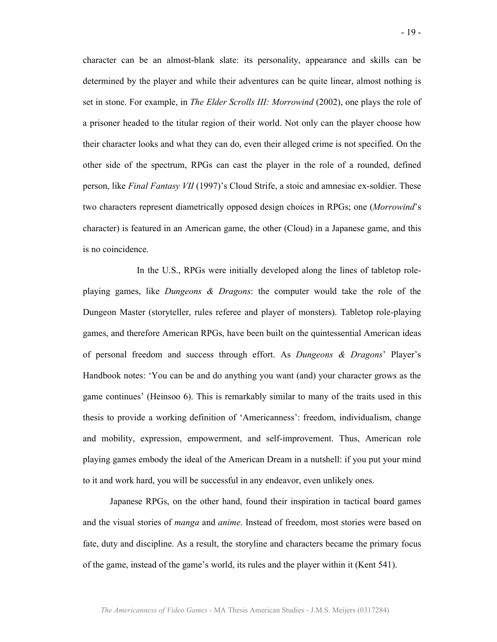character can be an almost-blank slate: its personality, appearance and skills can be determined by the player and while their adventures can be quite linear, almost nothing is set in stone. For example, in *The Elder Scrolls III: Morrowind* (2002), one plays the role of a prisoner headed to the titular region of their world. Not only can the player choose how their character looks and what they can do, even their alleged crime is not specified. On the other side of the spectrum, RPGs can cast the player in the role of a rounded, defined person, like *Final Fantasy VII* (1997)'s Cloud Strife, a stoic and amnesiac ex-soldier. These two characters represent diametrically opposed design choices in RPGs; one (*Morrowind*'s character) is featured in an American game, the other (Cloud) in a Japanese game, and this is no coincidence.

 In the U.S., RPGs were initially developed along the lines of tabletop roleplaying games, like *Dungeons & Dragons*: the computer would take the role of the Dungeon Master (storyteller, rules referee and player of monsters). Tabletop role-playing games, and therefore American RPGs, have been built on the quintessential American ideas of personal freedom and success through effort. As *Dungeons & Dragons*' Player's Handbook notes: 'You can be and do anything you want (and) your character grows as the game continues' (Heinsoo 6). This is remarkably similar to many of the traits used in this thesis to provide a working definition of 'Americanness': freedom, individualism, change and mobility, expression, empowerment, and self-improvement. Thus, American role playing games embody the ideal of the American Dream in a nutshell: if you put your mind to it and work hard, you will be successful in any endeavor, even unlikely ones.

Japanese RPGs, on the other hand, found their inspiration in tactical board games and the visual stories of *manga* and *anime*. Instead of freedom, most stories were based on fate, duty and discipline. As a result, the storyline and characters became the primary focus of the game, instead of the game's world, its rules and the player within it (Kent 541).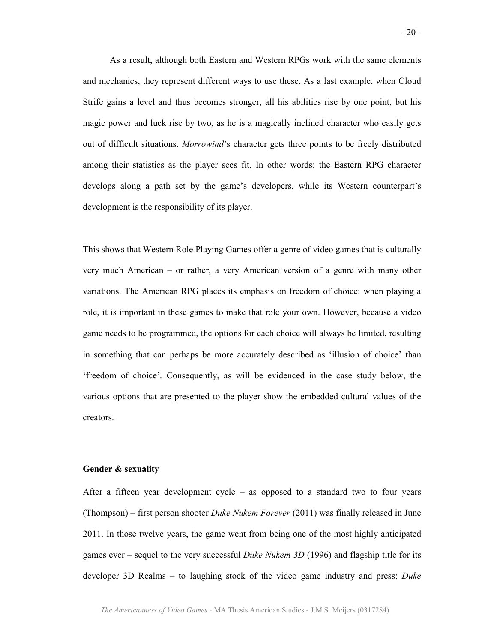As a result, although both Eastern and Western RPGs work with the same elements and mechanics, they represent different ways to use these. As a last example, when Cloud Strife gains a level and thus becomes stronger, all his abilities rise by one point, but his magic power and luck rise by two, as he is a magically inclined character who easily gets out of difficult situations. *Morrowind*'s character gets three points to be freely distributed among their statistics as the player sees fit. In other words: the Eastern RPG character develops along a path set by the game's developers, while its Western counterpart's development is the responsibility of its player.

This shows that Western Role Playing Games offer a genre of video games that is culturally very much American – or rather, a very American version of a genre with many other variations. The American RPG places its emphasis on freedom of choice: when playing a role, it is important in these games to make that role your own. However, because a video game needs to be programmed, the options for each choice will always be limited, resulting in something that can perhaps be more accurately described as 'illusion of choice' than 'freedom of choice'. Consequently, as will be evidenced in the case study below, the various options that are presented to the player show the embedded cultural values of the creators.

#### **Gender & sexuality**

After a fifteen year development cycle – as opposed to a standard two to four years (Thompson) – first person shooter *Duke Nukem Forever* (2011) was finally released in June 2011. In those twelve years, the game went from being one of the most highly anticipated games ever – sequel to the very successful *Duke Nukem 3D* (1996) and flagship title for its developer 3D Realms – to laughing stock of the video game industry and press: *Duke*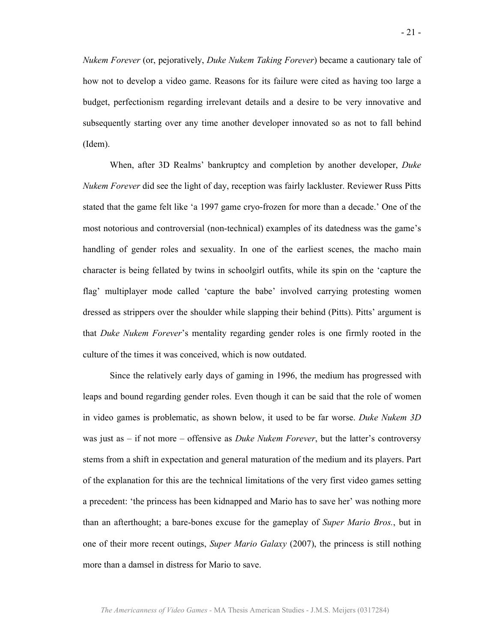*Nukem Forever* (or, pejoratively, *Duke Nukem Taking Forever*) became a cautionary tale of how not to develop a video game. Reasons for its failure were cited as having too large a budget, perfectionism regarding irrelevant details and a desire to be very innovative and subsequently starting over any time another developer innovated so as not to fall behind (Idem).

 When, after 3D Realms' bankruptcy and completion by another developer, *Duke Nukem Forever* did see the light of day, reception was fairly lackluster. Reviewer Russ Pitts stated that the game felt like 'a 1997 game cryo-frozen for more than a decade.' One of the most notorious and controversial (non-technical) examples of its datedness was the game's handling of gender roles and sexuality. In one of the earliest scenes, the macho main character is being fellated by twins in schoolgirl outfits, while its spin on the 'capture the flag' multiplayer mode called 'capture the babe' involved carrying protesting women dressed as strippers over the shoulder while slapping their behind (Pitts). Pitts' argument is that *Duke Nukem Forever*'s mentality regarding gender roles is one firmly rooted in the culture of the times it was conceived, which is now outdated.

 Since the relatively early days of gaming in 1996, the medium has progressed with leaps and bound regarding gender roles. Even though it can be said that the role of women in video games is problematic, as shown below, it used to be far worse. *Duke Nukem 3D* was just as – if not more – offensive as *Duke Nukem Forever*, but the latter's controversy stems from a shift in expectation and general maturation of the medium and its players. Part of the explanation for this are the technical limitations of the very first video games setting a precedent: 'the princess has been kidnapped and Mario has to save her' was nothing more than an afterthought; a bare-bones excuse for the gameplay of *Super Mario Bros.*, but in one of their more recent outings, *Super Mario Galaxy* (2007), the princess is still nothing more than a damsel in distress for Mario to save.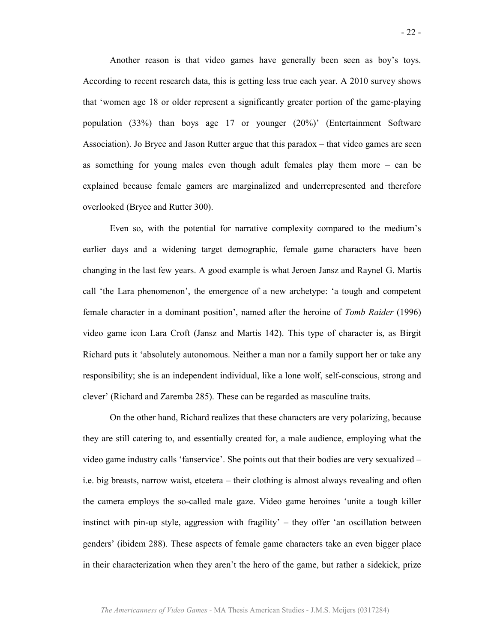Another reason is that video games have generally been seen as boy's toys. According to recent research data, this is getting less true each year. A 2010 survey shows that 'women age 18 or older represent a significantly greater portion of the game-playing population (33%) than boys age 17 or younger (20%)' (Entertainment Software Association). Jo Bryce and Jason Rutter argue that this paradox – that video games are seen as something for young males even though adult females play them more – can be explained because female gamers are marginalized and underrepresented and therefore overlooked (Bryce and Rutter 300).

 Even so, with the potential for narrative complexity compared to the medium's earlier days and a widening target demographic, female game characters have been changing in the last few years. A good example is what Jeroen Jansz and Raynel G. Martis call 'the Lara phenomenon', the emergence of a new archetype: 'a tough and competent female character in a dominant position', named after the heroine of *Tomb Raider* (1996) video game icon Lara Croft (Jansz and Martis 142). This type of character is, as Birgit Richard puts it 'absolutely autonomous. Neither a man nor a family support her or take any responsibility; she is an independent individual, like a lone wolf, self-conscious, strong and clever' (Richard and Zaremba 285). These can be regarded as masculine traits.

On the other hand, Richard realizes that these characters are very polarizing, because they are still catering to, and essentially created for, a male audience, employing what the video game industry calls 'fanservice'. She points out that their bodies are very sexualized – i.e. big breasts, narrow waist, etcetera – their clothing is almost always revealing and often the camera employs the so-called male gaze. Video game heroines 'unite a tough killer instinct with pin-up style, aggression with fragility' – they offer 'an oscillation between genders' (ibidem 288). These aspects of female game characters take an even bigger place in their characterization when they aren't the hero of the game, but rather a sidekick, prize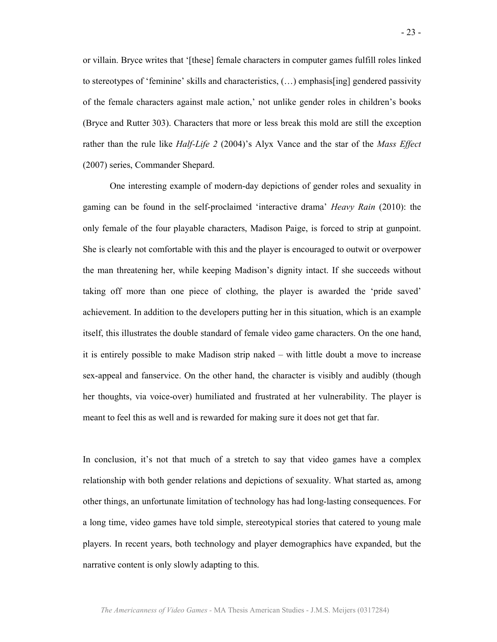or villain. Bryce writes that '[these] female characters in computer games fulfill roles linked to stereotypes of 'feminine' skills and characteristics,  $(\ldots)$  emphasis [ing] gendered passivity of the female characters against male action,' not unlike gender roles in children's books (Bryce and Rutter 303). Characters that more or less break this mold are still the exception rather than the rule like *Half-Life 2* (2004)'s Alyx Vance and the star of the *Mass Effect* (2007) series, Commander Shepard.

One interesting example of modern-day depictions of gender roles and sexuality in gaming can be found in the self-proclaimed 'interactive drama' *Heavy Rain* (2010): the only female of the four playable characters, Madison Paige, is forced to strip at gunpoint. She is clearly not comfortable with this and the player is encouraged to outwit or overpower the man threatening her, while keeping Madison's dignity intact. If she succeeds without taking off more than one piece of clothing, the player is awarded the 'pride saved' achievement. In addition to the developers putting her in this situation, which is an example itself, this illustrates the double standard of female video game characters. On the one hand, it is entirely possible to make Madison strip naked – with little doubt a move to increase sex-appeal and fanservice. On the other hand, the character is visibly and audibly (though her thoughts, via voice-over) humiliated and frustrated at her vulnerability. The player is meant to feel this as well and is rewarded for making sure it does not get that far.

In conclusion, it's not that much of a stretch to say that video games have a complex relationship with both gender relations and depictions of sexuality. What started as, among other things, an unfortunate limitation of technology has had long-lasting consequences. For a long time, video games have told simple, stereotypical stories that catered to young male players. In recent years, both technology and player demographics have expanded, but the narrative content is only slowly adapting to this.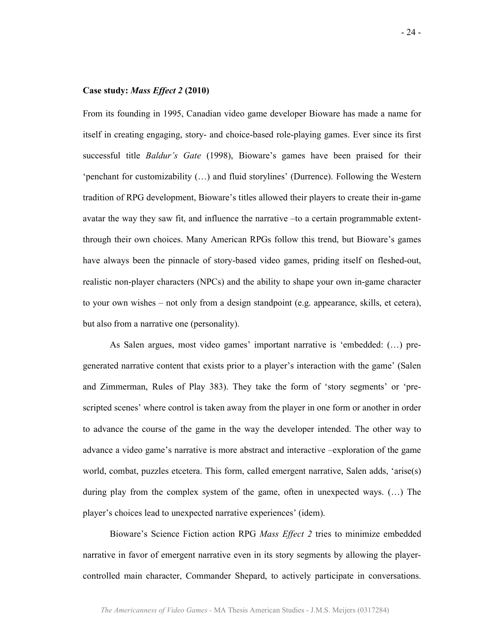#### **Case study:** *Mass Effect 2* **(2010)**

From its founding in 1995, Canadian video game developer Bioware has made a name for itself in creating engaging, story- and choice-based role-playing games. Ever since its first successful title *Baldur's Gate* (1998), Bioware's games have been praised for their 'penchant for customizability (…) and fluid storylines' (Durrence). Following the Western tradition of RPG development, Bioware's titles allowed their players to create their in-game avatar the way they saw fit, and influence the narrative –to a certain programmable extentthrough their own choices. Many American RPGs follow this trend, but Bioware's games have always been the pinnacle of story-based video games, priding itself on fleshed-out, realistic non-player characters (NPCs) and the ability to shape your own in-game character to your own wishes – not only from a design standpoint (e.g. appearance, skills, et cetera), but also from a narrative one (personality).

As Salen argues, most video games' important narrative is 'embedded: (…) pregenerated narrative content that exists prior to a player's interaction with the game' (Salen and Zimmerman, Rules of Play 383). They take the form of 'story segments' or 'prescripted scenes' where control is taken away from the player in one form or another in order to advance the course of the game in the way the developer intended. The other way to advance a video game's narrative is more abstract and interactive –exploration of the game world, combat, puzzles etcetera. This form, called emergent narrative, Salen adds, 'arise(s) during play from the complex system of the game, often in unexpected ways. (…) The player's choices lead to unexpected narrative experiences' (idem).

Bioware's Science Fiction action RPG *Mass Effect 2* tries to minimize embedded narrative in favor of emergent narrative even in its story segments by allowing the playercontrolled main character, Commander Shepard, to actively participate in conversations.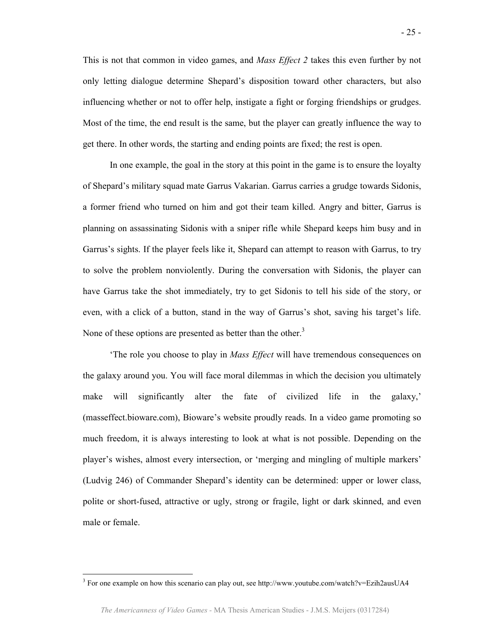This is not that common in video games, and *Mass Effect 2* takes this even further by not only letting dialogue determine Shepard's disposition toward other characters, but also influencing whether or not to offer help, instigate a fight or forging friendships or grudges. Most of the time, the end result is the same, but the player can greatly influence the way to get there. In other words, the starting and ending points are fixed; the rest is open.

In one example, the goal in the story at this point in the game is to ensure the loyalty of Shepard's military squad mate Garrus Vakarian. Garrus carries a grudge towards Sidonis, a former friend who turned on him and got their team killed. Angry and bitter, Garrus is planning on assassinating Sidonis with a sniper rifle while Shepard keeps him busy and in Garrus's sights. If the player feels like it, Shepard can attempt to reason with Garrus, to try to solve the problem nonviolently. During the conversation with Sidonis, the player can have Garrus take the shot immediately, try to get Sidonis to tell his side of the story, or even, with a click of a button, stand in the way of Garrus's shot, saving his target's life. None of these options are presented as better than the other.<sup>3</sup>

'The role you choose to play in *Mass Effect* will have tremendous consequences on the galaxy around you. You will face moral dilemmas in which the decision you ultimately make will significantly alter the fate of civilized life in the galaxy,' (masseffect.bioware.com), Bioware's website proudly reads. In a video game promoting so much freedom, it is always interesting to look at what is not possible. Depending on the player's wishes, almost every intersection, or 'merging and mingling of multiple markers' (Ludvig 246) of Commander Shepard's identity can be determined: upper or lower class, polite or short-fused, attractive or ugly, strong or fragile, light or dark skinned, and even male or female.

<sup>&</sup>lt;sup>3</sup> For one example on how this scenario can play out, see http://www.youtube.com/watch?v=Ezih2ausUA4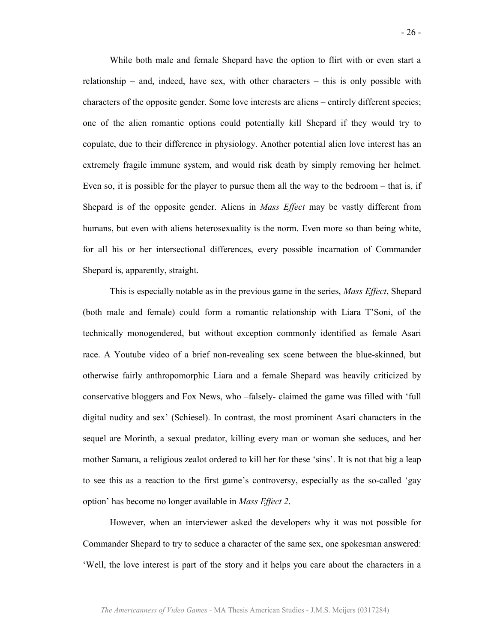While both male and female Shepard have the option to flirt with or even start a relationship – and, indeed, have sex, with other characters – this is only possible with characters of the opposite gender. Some love interests are aliens – entirely different species; one of the alien romantic options could potentially kill Shepard if they would try to copulate, due to their difference in physiology. Another potential alien love interest has an extremely fragile immune system, and would risk death by simply removing her helmet. Even so, it is possible for the player to pursue them all the way to the bedroom – that is, if Shepard is of the opposite gender. Aliens in *Mass Effect* may be vastly different from humans, but even with aliens heterosexuality is the norm. Even more so than being white, for all his or her intersectional differences, every possible incarnation of Commander Shepard is, apparently, straight.

This is especially notable as in the previous game in the series, *Mass Effect*, Shepard (both male and female) could form a romantic relationship with Liara T'Soni, of the technically monogendered, but without exception commonly identified as female Asari race. A Youtube video of a brief non-revealing sex scene between the blue-skinned, but otherwise fairly anthropomorphic Liara and a female Shepard was heavily criticized by conservative bloggers and Fox News, who –falsely- claimed the game was filled with 'full digital nudity and sex' (Schiesel). In contrast, the most prominent Asari characters in the sequel are Morinth, a sexual predator, killing every man or woman she seduces, and her mother Samara, a religious zealot ordered to kill her for these 'sins'. It is not that big a leap to see this as a reaction to the first game's controversy, especially as the so-called 'gay option' has become no longer available in *Mass Effect 2*.

However, when an interviewer asked the developers why it was not possible for Commander Shepard to try to seduce a character of the same sex, one spokesman answered: 'Well, the love interest is part of the story and it helps you care about the characters in a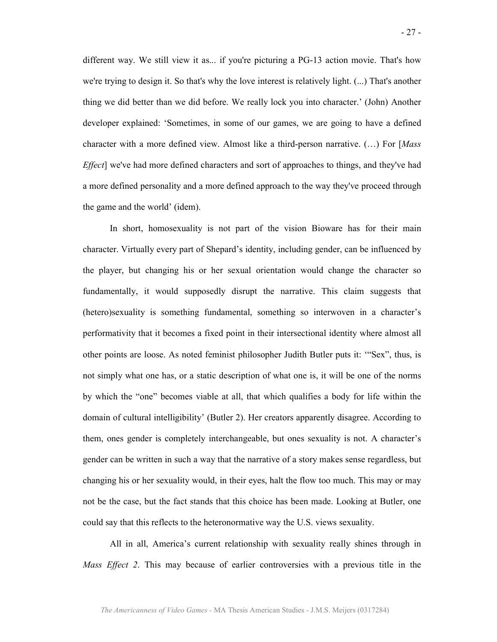different way. We still view it as... if you're picturing a PG-13 action movie. That's how we're trying to design it. So that's why the love interest is relatively light. (...) That's another thing we did better than we did before. We really lock you into character.' (John) Another developer explained: 'Sometimes, in some of our games, we are going to have a defined character with a more defined view. Almost like a third-person narrative. (…) For [*Mass Effect*] we've had more defined characters and sort of approaches to things, and they've had a more defined personality and a more defined approach to the way they've proceed through the game and the world' (idem).

In short, homosexuality is not part of the vision Bioware has for their main character. Virtually every part of Shepard's identity, including gender, can be influenced by the player, but changing his or her sexual orientation would change the character so fundamentally, it would supposedly disrupt the narrative. This claim suggests that (hetero)sexuality is something fundamental, something so interwoven in a character's performativity that it becomes a fixed point in their intersectional identity where almost all other points are loose. As noted feminist philosopher Judith Butler puts it: '"Sex", thus, is not simply what one has, or a static description of what one is, it will be one of the norms by which the "one" becomes viable at all, that which qualifies a body for life within the domain of cultural intelligibility' (Butler 2). Her creators apparently disagree. According to them, ones gender is completely interchangeable, but ones sexuality is not. A character's gender can be written in such a way that the narrative of a story makes sense regardless, but changing his or her sexuality would, in their eyes, halt the flow too much. This may or may not be the case, but the fact stands that this choice has been made. Looking at Butler, one could say that this reflects to the heteronormative way the U.S. views sexuality.

All in all, America's current relationship with sexuality really shines through in *Mass Effect 2*. This may because of earlier controversies with a previous title in the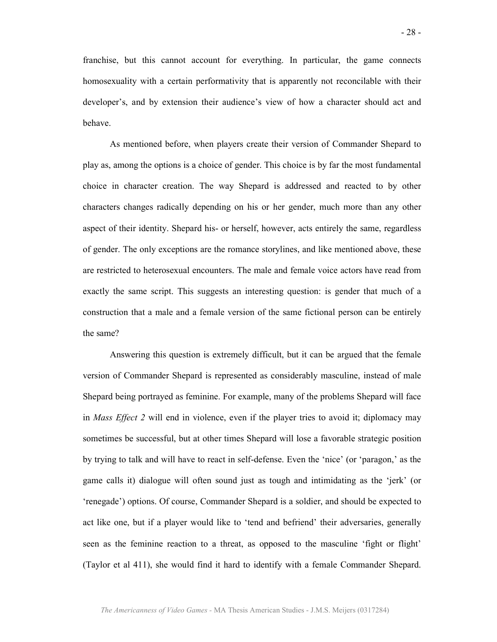franchise, but this cannot account for everything. In particular, the game connects homosexuality with a certain performativity that is apparently not reconcilable with their developer's, and by extension their audience's view of how a character should act and behave.

As mentioned before, when players create their version of Commander Shepard to play as, among the options is a choice of gender. This choice is by far the most fundamental choice in character creation. The way Shepard is addressed and reacted to by other characters changes radically depending on his or her gender, much more than any other aspect of their identity. Shepard his- or herself, however, acts entirely the same, regardless of gender. The only exceptions are the romance storylines, and like mentioned above, these are restricted to heterosexual encounters. The male and female voice actors have read from exactly the same script. This suggests an interesting question: is gender that much of a construction that a male and a female version of the same fictional person can be entirely the same?

Answering this question is extremely difficult, but it can be argued that the female version of Commander Shepard is represented as considerably masculine, instead of male Shepard being portrayed as feminine. For example, many of the problems Shepard will face in *Mass Effect 2* will end in violence, even if the player tries to avoid it; diplomacy may sometimes be successful, but at other times Shepard will lose a favorable strategic position by trying to talk and will have to react in self-defense. Even the 'nice' (or 'paragon,' as the game calls it) dialogue will often sound just as tough and intimidating as the 'jerk' (or 'renegade') options. Of course, Commander Shepard is a soldier, and should be expected to act like one, but if a player would like to 'tend and befriend' their adversaries, generally seen as the feminine reaction to a threat, as opposed to the masculine 'fight or flight' (Taylor et al 411), she would find it hard to identify with a female Commander Shepard.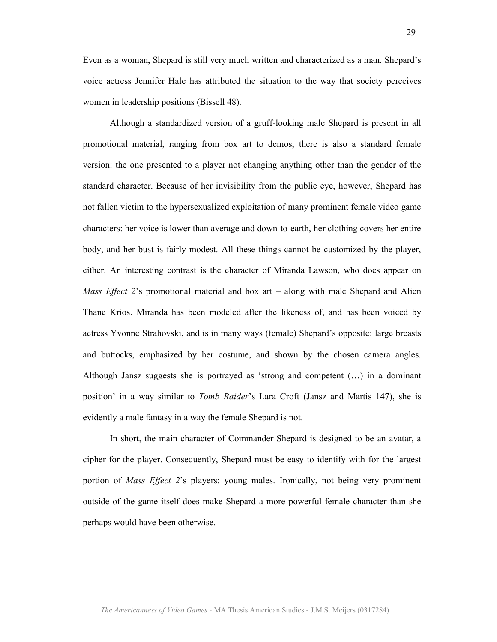Even as a woman, Shepard is still very much written and characterized as a man. Shepard's voice actress Jennifer Hale has attributed the situation to the way that society perceives women in leadership positions (Bissell 48).

Although a standardized version of a gruff-looking male Shepard is present in all promotional material, ranging from box art to demos, there is also a standard female version: the one presented to a player not changing anything other than the gender of the standard character. Because of her invisibility from the public eye, however, Shepard has not fallen victim to the hypersexualized exploitation of many prominent female video game characters: her voice is lower than average and down-to-earth, her clothing covers her entire body, and her bust is fairly modest. All these things cannot be customized by the player, either. An interesting contrast is the character of Miranda Lawson, who does appear on *Mass Effect 2*'s promotional material and box art – along with male Shepard and Alien Thane Krios. Miranda has been modeled after the likeness of, and has been voiced by actress Yvonne Strahovski, and is in many ways (female) Shepard's opposite: large breasts and buttocks, emphasized by her costume, and shown by the chosen camera angles. Although Jansz suggests she is portrayed as 'strong and competent (…) in a dominant position' in a way similar to *Tomb Raider*'s Lara Croft (Jansz and Martis 147), she is evidently a male fantasy in a way the female Shepard is not.

In short, the main character of Commander Shepard is designed to be an avatar, a cipher for the player. Consequently, Shepard must be easy to identify with for the largest portion of *Mass Effect 2*'s players: young males. Ironically, not being very prominent outside of the game itself does make Shepard a more powerful female character than she perhaps would have been otherwise.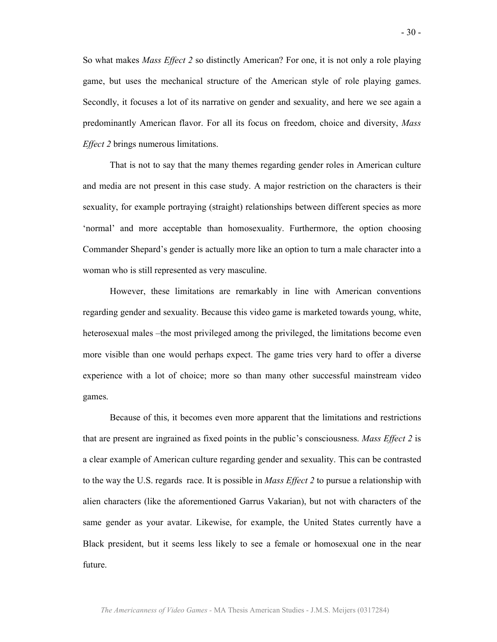So what makes *Mass Effect 2* so distinctly American? For one, it is not only a role playing game, but uses the mechanical structure of the American style of role playing games. Secondly, it focuses a lot of its narrative on gender and sexuality, and here we see again a predominantly American flavor. For all its focus on freedom, choice and diversity, *Mass Effect 2* brings numerous limitations.

That is not to say that the many themes regarding gender roles in American culture and media are not present in this case study. A major restriction on the characters is their sexuality, for example portraying (straight) relationships between different species as more 'normal' and more acceptable than homosexuality. Furthermore, the option choosing Commander Shepard's gender is actually more like an option to turn a male character into a woman who is still represented as very masculine.

However, these limitations are remarkably in line with American conventions regarding gender and sexuality. Because this video game is marketed towards young, white, heterosexual males –the most privileged among the privileged, the limitations become even more visible than one would perhaps expect. The game tries very hard to offer a diverse experience with a lot of choice; more so than many other successful mainstream video games.

Because of this, it becomes even more apparent that the limitations and restrictions that are present are ingrained as fixed points in the public's consciousness. *Mass Effect 2* is a clear example of American culture regarding gender and sexuality. This can be contrasted to the way the U.S. regards race. It is possible in *Mass Effect 2* to pursue a relationship with alien characters (like the aforementioned Garrus Vakarian), but not with characters of the same gender as your avatar. Likewise, for example, the United States currently have a Black president, but it seems less likely to see a female or homosexual one in the near future.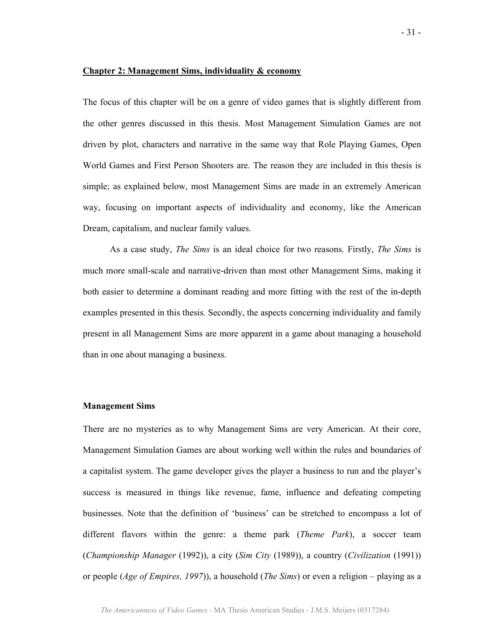#### **Chapter 2: Management Sims, individuality & economy**

The focus of this chapter will be on a genre of video games that is slightly different from the other genres discussed in this thesis. Most Management Simulation Games are not driven by plot, characters and narrative in the same way that Role Playing Games, Open World Games and First Person Shooters are. The reason they are included in this thesis is simple; as explained below, most Management Sims are made in an extremely American way, focusing on important aspects of individuality and economy, like the American Dream, capitalism, and nuclear family values.

 As a case study, *The Sims* is an ideal choice for two reasons. Firstly, *The Sims* is much more small-scale and narrative-driven than most other Management Sims, making it both easier to determine a dominant reading and more fitting with the rest of the in-depth examples presented in this thesis. Secondly, the aspects concerning individuality and family present in all Management Sims are more apparent in a game about managing a household than in one about managing a business.

#### **Management Sims**

There are no mysteries as to why Management Sims are very American. At their core, Management Simulation Games are about working well within the rules and boundaries of a capitalist system. The game developer gives the player a business to run and the player's success is measured in things like revenue, fame, influence and defeating competing businesses. Note that the definition of 'business' can be stretched to encompass a lot of different flavors within the genre: a theme park (*Theme Park*), a soccer team (*Championship Manager* (1992)), a city (*Sim City* (1989)), a country (*Civilization* (1991)) or people (*Age of Empires, 1997*)), a household (*The Sims*) or even a religion – playing as a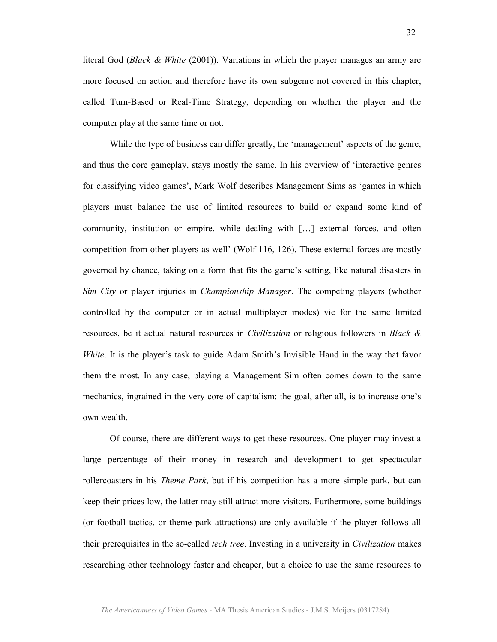literal God (*Black & White* (2001)). Variations in which the player manages an army are more focused on action and therefore have its own subgenre not covered in this chapter, called Turn-Based or Real-Time Strategy, depending on whether the player and the computer play at the same time or not.

 While the type of business can differ greatly, the 'management' aspects of the genre, and thus the core gameplay, stays mostly the same. In his overview of 'interactive genres for classifying video games', Mark Wolf describes Management Sims as 'games in which players must balance the use of limited resources to build or expand some kind of community, institution or empire, while dealing with […] external forces, and often competition from other players as well' (Wolf 116, 126). These external forces are mostly governed by chance, taking on a form that fits the game's setting, like natural disasters in *Sim City* or player injuries in *Championship Manager*. The competing players (whether controlled by the computer or in actual multiplayer modes) vie for the same limited resources, be it actual natural resources in *Civilization* or religious followers in *Black & White*. It is the player's task to guide Adam Smith's Invisible Hand in the way that favor them the most. In any case, playing a Management Sim often comes down to the same mechanics, ingrained in the very core of capitalism: the goal, after all, is to increase one's own wealth.

 Of course, there are different ways to get these resources. One player may invest a large percentage of their money in research and development to get spectacular rollercoasters in his *Theme Park*, but if his competition has a more simple park, but can keep their prices low, the latter may still attract more visitors. Furthermore, some buildings (or football tactics, or theme park attractions) are only available if the player follows all their prerequisites in the so-called *tech tree*. Investing in a university in *Civilization* makes researching other technology faster and cheaper, but a choice to use the same resources to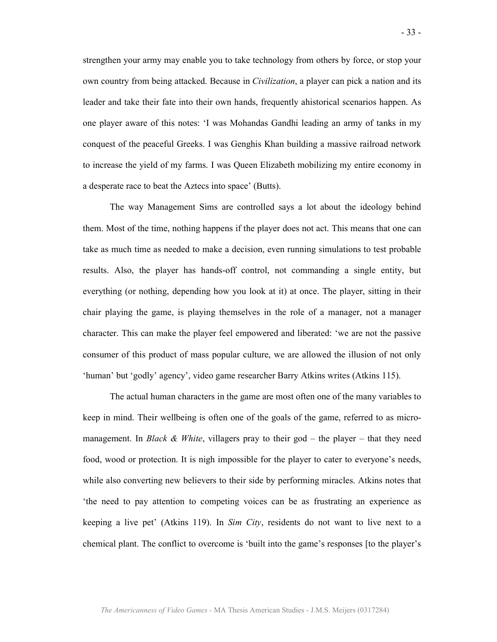strengthen your army may enable you to take technology from others by force, or stop your own country from being attacked. Because in *Civilization*, a player can pick a nation and its leader and take their fate into their own hands, frequently ahistorical scenarios happen. As one player aware of this notes: 'I was Mohandas Gandhi leading an army of tanks in my conquest of the peaceful Greeks. I was Genghis Khan building a massive railroad network to increase the yield of my farms. I was Queen Elizabeth mobilizing my entire economy in a desperate race to beat the Aztecs into space' (Butts).

 The way Management Sims are controlled says a lot about the ideology behind them. Most of the time, nothing happens if the player does not act. This means that one can take as much time as needed to make a decision, even running simulations to test probable results. Also, the player has hands-off control, not commanding a single entity, but everything (or nothing, depending how you look at it) at once. The player, sitting in their chair playing the game, is playing themselves in the role of a manager, not a manager character. This can make the player feel empowered and liberated: 'we are not the passive consumer of this product of mass popular culture, we are allowed the illusion of not only 'human' but 'godly' agency', video game researcher Barry Atkins writes (Atkins 115).

 The actual human characters in the game are most often one of the many variables to keep in mind. Their wellbeing is often one of the goals of the game, referred to as micromanagement. In *Black & White*, villagers pray to their god – the player – that they need food, wood or protection. It is nigh impossible for the player to cater to everyone's needs, while also converting new believers to their side by performing miracles. Atkins notes that 'the need to pay attention to competing voices can be as frustrating an experience as keeping a live pet' (Atkins 119). In *Sim City*, residents do not want to live next to a chemical plant. The conflict to overcome is 'built into the game's responses [to the player's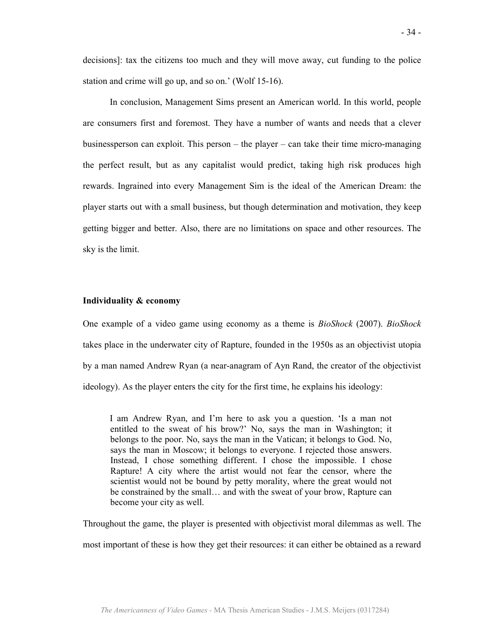decisions]: tax the citizens too much and they will move away, cut funding to the police station and crime will go up, and so on.' (Wolf 15-16).

 In conclusion, Management Sims present an American world. In this world, people are consumers first and foremost. They have a number of wants and needs that a clever businessperson can exploit. This person – the player – can take their time micro-managing the perfect result, but as any capitalist would predict, taking high risk produces high rewards. Ingrained into every Management Sim is the ideal of the American Dream: the player starts out with a small business, but though determination and motivation, they keep getting bigger and better. Also, there are no limitations on space and other resources. The sky is the limit.

#### **Individuality & economy**

One example of a video game using economy as a theme is *BioShock* (2007). *BioShock* takes place in the underwater city of Rapture, founded in the 1950s as an objectivist utopia by a man named Andrew Ryan (a near-anagram of Ayn Rand, the creator of the objectivist ideology). As the player enters the city for the first time, he explains his ideology:

I am Andrew Ryan, and I'm here to ask you a question. 'Is a man not entitled to the sweat of his brow?' No, says the man in Washington; it belongs to the poor. No, says the man in the Vatican; it belongs to God. No, says the man in Moscow; it belongs to everyone. I rejected those answers. Instead, I chose something different. I chose the impossible. I chose Rapture! A city where the artist would not fear the censor, where the scientist would not be bound by petty morality, where the great would not be constrained by the small… and with the sweat of your brow, Rapture can become your city as well.

Throughout the game, the player is presented with objectivist moral dilemmas as well. The most important of these is how they get their resources: it can either be obtained as a reward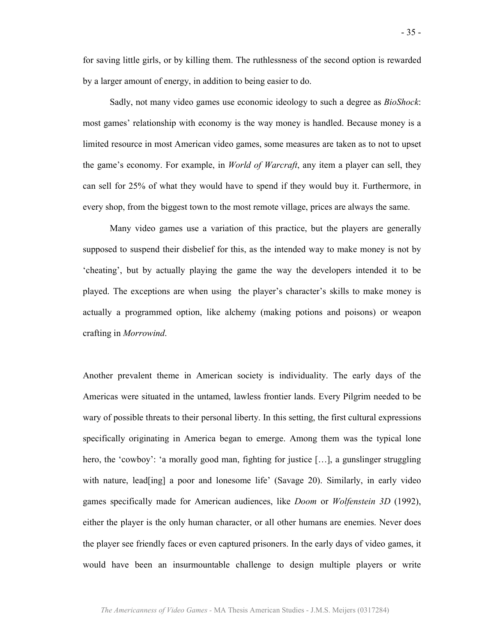for saving little girls, or by killing them. The ruthlessness of the second option is rewarded by a larger amount of energy, in addition to being easier to do.

Sadly, not many video games use economic ideology to such a degree as *BioShock*: most games' relationship with economy is the way money is handled. Because money is a limited resource in most American video games, some measures are taken as to not to upset the game's economy. For example, in *World of Warcraft*, any item a player can sell, they can sell for 25% of what they would have to spend if they would buy it. Furthermore, in every shop, from the biggest town to the most remote village, prices are always the same.

Many video games use a variation of this practice, but the players are generally supposed to suspend their disbelief for this, as the intended way to make money is not by 'cheating', but by actually playing the game the way the developers intended it to be played. The exceptions are when using the player's character's skills to make money is actually a programmed option, like alchemy (making potions and poisons) or weapon crafting in *Morrowind*.

Another prevalent theme in American society is individuality. The early days of the Americas were situated in the untamed, lawless frontier lands. Every Pilgrim needed to be wary of possible threats to their personal liberty. In this setting, the first cultural expressions specifically originating in America began to emerge. Among them was the typical lone hero, the 'cowboy': 'a morally good man, fighting for justice [...], a gunslinger struggling with nature, lead[ing] a poor and lonesome life' (Savage 20). Similarly, in early video games specifically made for American audiences, like *Doom* or *Wolfenstein 3D* (1992), either the player is the only human character, or all other humans are enemies. Never does the player see friendly faces or even captured prisoners. In the early days of video games, it would have been an insurmountable challenge to design multiple players or write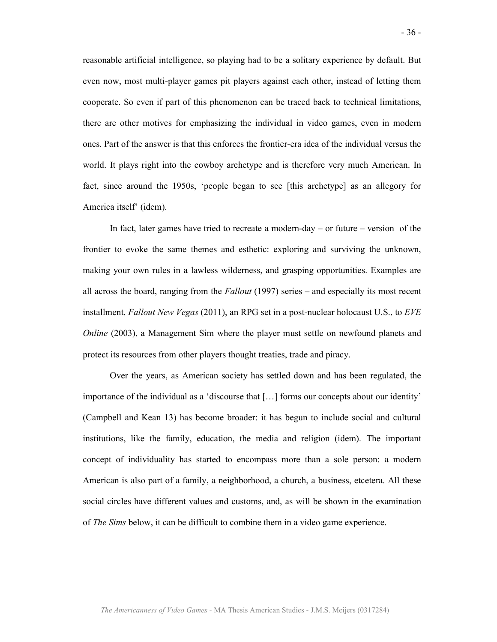reasonable artificial intelligence, so playing had to be a solitary experience by default. But even now, most multi-player games pit players against each other, instead of letting them cooperate. So even if part of this phenomenon can be traced back to technical limitations, there are other motives for emphasizing the individual in video games, even in modern ones. Part of the answer is that this enforces the frontier-era idea of the individual versus the world. It plays right into the cowboy archetype and is therefore very much American. In fact, since around the 1950s, 'people began to see [this archetype] as an allegory for America itself' (idem).

In fact, later games have tried to recreate a modern-day – or future – version of the frontier to evoke the same themes and esthetic: exploring and surviving the unknown, making your own rules in a lawless wilderness, and grasping opportunities. Examples are all across the board, ranging from the *Fallout* (1997) series – and especially its most recent installment, *Fallout New Vegas* (2011), an RPG set in a post-nuclear holocaust U.S., to *EVE Online* (2003), a Management Sim where the player must settle on newfound planets and protect its resources from other players thought treaties, trade and piracy.

 Over the years, as American society has settled down and has been regulated, the importance of the individual as a 'discourse that […] forms our concepts about our identity' (Campbell and Kean 13) has become broader: it has begun to include social and cultural institutions, like the family, education, the media and religion (idem). The important concept of individuality has started to encompass more than a sole person: a modern American is also part of a family, a neighborhood, a church, a business, etcetera. All these social circles have different values and customs, and, as will be shown in the examination of *The Sims* below, it can be difficult to combine them in a video game experience.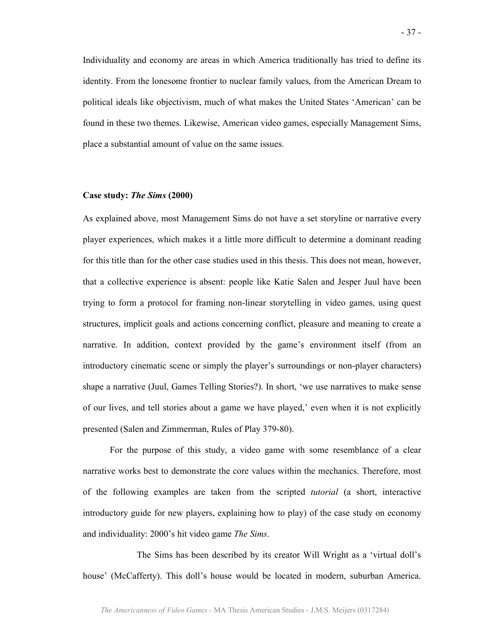Individuality and economy are areas in which America traditionally has tried to define its identity. From the lonesome frontier to nuclear family values, from the American Dream to political ideals like objectivism, much of what makes the United States 'American' can be found in these two themes. Likewise, American video games, especially Management Sims, place a substantial amount of value on the same issues.

# **Case study:** *The Sims* **(2000)**

As explained above, most Management Sims do not have a set storyline or narrative every player experiences, which makes it a little more difficult to determine a dominant reading for this title than for the other case studies used in this thesis. This does not mean, however, that a collective experience is absent: people like Katie Salen and Jesper Juul have been trying to form a protocol for framing non-linear storytelling in video games, using quest structures, implicit goals and actions concerning conflict, pleasure and meaning to create a narrative. In addition, context provided by the game's environment itself (from an introductory cinematic scene or simply the player's surroundings or non-player characters) shape a narrative (Juul, Games Telling Stories?). In short, 'we use narratives to make sense of our lives, and tell stories about a game we have played,' even when it is not explicitly presented (Salen and Zimmerman, Rules of Play 379-80).

 For the purpose of this study, a video game with some resemblance of a clear narrative works best to demonstrate the core values within the mechanics. Therefore, most of the following examples are taken from the scripted *tutorial* (a short, interactive introductory guide for new players, explaining how to play) of the case study on economy and individuality: 2000's hit video game *The Sims*.

 The Sims has been described by its creator Will Wright as a 'virtual doll's house' (McCafferty). This doll's house would be located in modern, suburban America.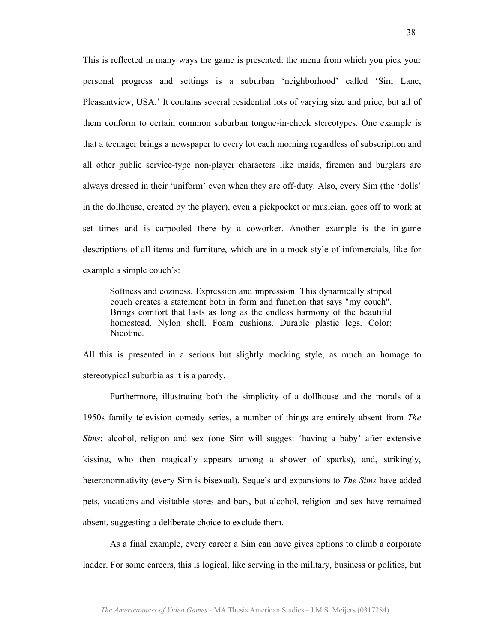This is reflected in many ways the game is presented: the menu from which you pick your personal progress and settings is a suburban 'neighborhood' called 'Sim Lane, Pleasantview, USA.' It contains several residential lots of varying size and price, but all of them conform to certain common suburban tongue-in-cheek stereotypes. One example is that a teenager brings a newspaper to every lot each morning regardless of subscription and all other public service-type non-player characters like maids, firemen and burglars are always dressed in their 'uniform' even when they are off-duty. Also, every Sim (the 'dolls' in the dollhouse, created by the player), even a pickpocket or musician, goes off to work at set times and is carpooled there by a coworker. Another example is the in-game descriptions of all items and furniture, which are in a mock-style of infomercials, like for example a simple couch's:

Softness and coziness. Expression and impression. This dynamically striped couch creates a statement both in form and function that says "my couch". Brings comfort that lasts as long as the endless harmony of the beautiful homestead. Nylon shell. Foam cushions. Durable plastic legs. Color: Nicotine.

All this is presented in a serious but slightly mocking style, as much an homage to stereotypical suburbia as it is a parody.

Furthermore, illustrating both the simplicity of a dollhouse and the morals of a 1950s family television comedy series, a number of things are entirely absent from *The Sims*: alcohol, religion and sex (one Sim will suggest 'having a baby' after extensive kissing, who then magically appears among a shower of sparks), and, strikingly, heteronormativity (every Sim is bisexual). Sequels and expansions to *The Sims* have added pets, vacations and visitable stores and bars, but alcohol, religion and sex have remained absent, suggesting a deliberate choice to exclude them.

As a final example, every career a Sim can have gives options to climb a corporate ladder. For some careers, this is logical, like serving in the military, business or politics, but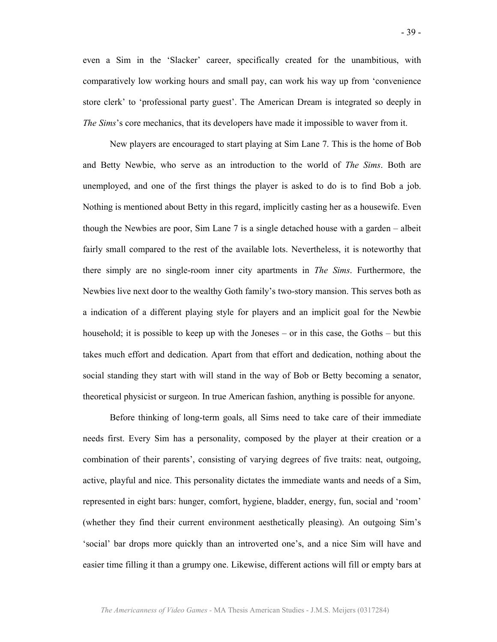even a Sim in the 'Slacker' career, specifically created for the unambitious, with comparatively low working hours and small pay, can work his way up from 'convenience store clerk' to 'professional party guest'. The American Dream is integrated so deeply in *The Sims*'s core mechanics, that its developers have made it impossible to waver from it.

 New players are encouraged to start playing at Sim Lane 7. This is the home of Bob and Betty Newbie, who serve as an introduction to the world of *The Sims*. Both are unemployed, and one of the first things the player is asked to do is to find Bob a job. Nothing is mentioned about Betty in this regard, implicitly casting her as a housewife. Even though the Newbies are poor, Sim Lane 7 is a single detached house with a garden – albeit fairly small compared to the rest of the available lots. Nevertheless, it is noteworthy that there simply are no single-room inner city apartments in *The Sims*. Furthermore, the Newbies live next door to the wealthy Goth family's two-story mansion. This serves both as a indication of a different playing style for players and an implicit goal for the Newbie household; it is possible to keep up with the Joneses – or in this case, the Goths – but this takes much effort and dedication. Apart from that effort and dedication, nothing about the social standing they start with will stand in the way of Bob or Betty becoming a senator, theoretical physicist or surgeon. In true American fashion, anything is possible for anyone.

 Before thinking of long-term goals, all Sims need to take care of their immediate needs first. Every Sim has a personality, composed by the player at their creation or a combination of their parents', consisting of varying degrees of five traits: neat, outgoing, active, playful and nice. This personality dictates the immediate wants and needs of a Sim, represented in eight bars: hunger, comfort, hygiene, bladder, energy, fun, social and 'room' (whether they find their current environment aesthetically pleasing). An outgoing Sim's 'social' bar drops more quickly than an introverted one's, and a nice Sim will have and easier time filling it than a grumpy one. Likewise, different actions will fill or empty bars at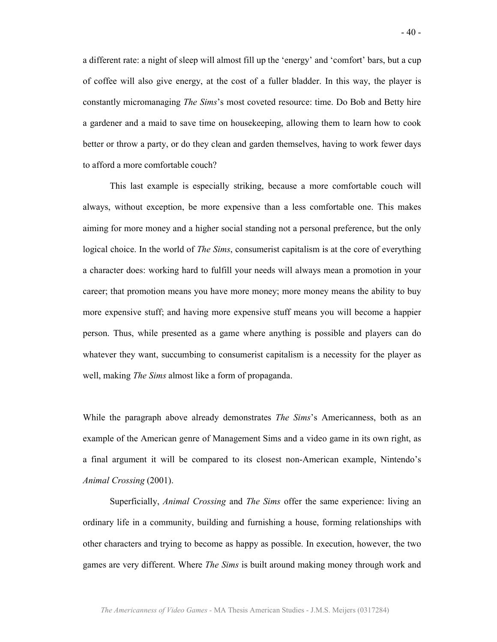a different rate: a night of sleep will almost fill up the 'energy' and 'comfort' bars, but a cup of coffee will also give energy, at the cost of a fuller bladder. In this way, the player is constantly micromanaging *The Sims*'s most coveted resource: time. Do Bob and Betty hire a gardener and a maid to save time on housekeeping, allowing them to learn how to cook better or throw a party, or do they clean and garden themselves, having to work fewer days to afford a more comfortable couch?

 This last example is especially striking, because a more comfortable couch will always, without exception, be more expensive than a less comfortable one. This makes aiming for more money and a higher social standing not a personal preference, but the only logical choice. In the world of *The Sims*, consumerist capitalism is at the core of everything a character does: working hard to fulfill your needs will always mean a promotion in your career; that promotion means you have more money; more money means the ability to buy more expensive stuff; and having more expensive stuff means you will become a happier person. Thus, while presented as a game where anything is possible and players can do whatever they want, succumbing to consumerist capitalism is a necessity for the player as well, making *The Sims* almost like a form of propaganda.

While the paragraph above already demonstrates *The Sims*'s Americanness, both as an example of the American genre of Management Sims and a video game in its own right, as a final argument it will be compared to its closest non-American example, Nintendo's *Animal Crossing* (2001).

 Superficially, *Animal Crossing* and *The Sims* offer the same experience: living an ordinary life in a community, building and furnishing a house, forming relationships with other characters and trying to become as happy as possible. In execution, however, the two games are very different. Where *The Sims* is built around making money through work and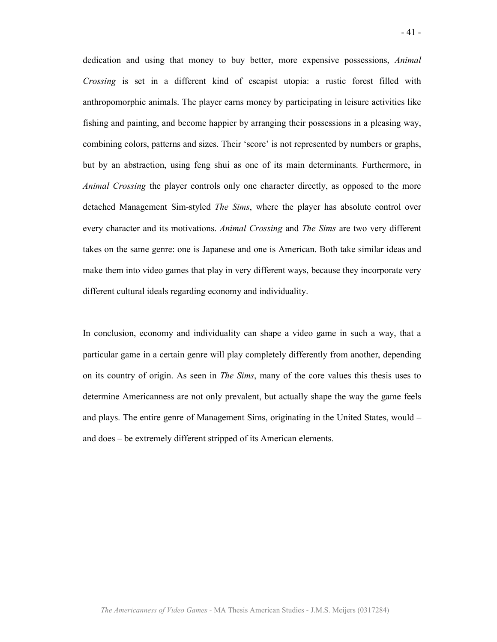dedication and using that money to buy better, more expensive possessions, *Animal Crossing* is set in a different kind of escapist utopia: a rustic forest filled with anthropomorphic animals. The player earns money by participating in leisure activities like fishing and painting, and become happier by arranging their possessions in a pleasing way, combining colors, patterns and sizes. Their 'score' is not represented by numbers or graphs, but by an abstraction, using feng shui as one of its main determinants. Furthermore, in *Animal Crossing* the player controls only one character directly, as opposed to the more detached Management Sim-styled *The Sims*, where the player has absolute control over every character and its motivations. *Animal Crossing* and *The Sims* are two very different takes on the same genre: one is Japanese and one is American. Both take similar ideas and make them into video games that play in very different ways, because they incorporate very different cultural ideals regarding economy and individuality.

In conclusion, economy and individuality can shape a video game in such a way, that a particular game in a certain genre will play completely differently from another, depending on its country of origin. As seen in *The Sims*, many of the core values this thesis uses to determine Americanness are not only prevalent, but actually shape the way the game feels and plays. The entire genre of Management Sims, originating in the United States, would – and does – be extremely different stripped of its American elements.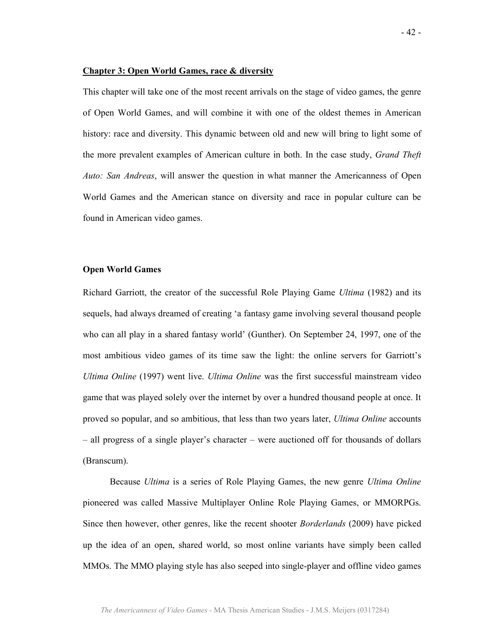# **Chapter 3: Open World Games, race & diversity**

This chapter will take one of the most recent arrivals on the stage of video games, the genre of Open World Games, and will combine it with one of the oldest themes in American history: race and diversity. This dynamic between old and new will bring to light some of the more prevalent examples of American culture in both. In the case study, *Grand Theft Auto: San Andreas*, will answer the question in what manner the Americanness of Open World Games and the American stance on diversity and race in popular culture can be found in American video games.

## **Open World Games**

Richard Garriott, the creator of the successful Role Playing Game *Ultima* (1982) and its sequels, had always dreamed of creating 'a fantasy game involving several thousand people who can all play in a shared fantasy world' (Gunther). On September 24, 1997, one of the most ambitious video games of its time saw the light: the online servers for Garriott's *Ultima Online* (1997) went live. *Ultima Online* was the first successful mainstream video game that was played solely over the internet by over a hundred thousand people at once. It proved so popular, and so ambitious, that less than two years later, *Ultima Online* accounts – all progress of a single player's character – were auctioned off for thousands of dollars (Branscum).

 Because *Ultima* is a series of Role Playing Games, the new genre *Ultima Online* pioneered was called Massive Multiplayer Online Role Playing Games, or MMORPGs. Since then however, other genres, like the recent shooter *Borderlands* (2009) have picked up the idea of an open, shared world, so most online variants have simply been called MMOs. The MMO playing style has also seeped into single-player and offline video games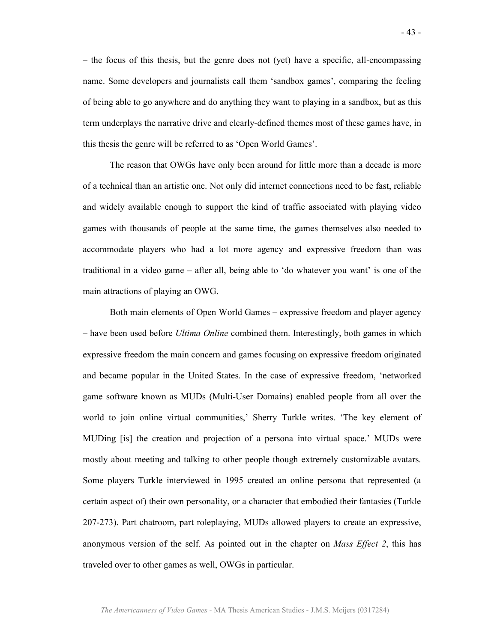– the focus of this thesis, but the genre does not (yet) have a specific, all-encompassing name. Some developers and journalists call them 'sandbox games', comparing the feeling of being able to go anywhere and do anything they want to playing in a sandbox, but as this term underplays the narrative drive and clearly-defined themes most of these games have, in this thesis the genre will be referred to as 'Open World Games'.

The reason that OWGs have only been around for little more than a decade is more of a technical than an artistic one. Not only did internet connections need to be fast, reliable and widely available enough to support the kind of traffic associated with playing video games with thousands of people at the same time, the games themselves also needed to accommodate players who had a lot more agency and expressive freedom than was traditional in a video game – after all, being able to 'do whatever you want' is one of the main attractions of playing an OWG.

Both main elements of Open World Games – expressive freedom and player agency – have been used before *Ultima Online* combined them. Interestingly, both games in which expressive freedom the main concern and games focusing on expressive freedom originated and became popular in the United States. In the case of expressive freedom, 'networked game software known as MUDs (Multi-User Domains) enabled people from all over the world to join online virtual communities,' Sherry Turkle writes. 'The key element of MUDing [is] the creation and projection of a persona into virtual space.' MUDs were mostly about meeting and talking to other people though extremely customizable avatars. Some players Turkle interviewed in 1995 created an online persona that represented (a certain aspect of) their own personality, or a character that embodied their fantasies (Turkle 207-273). Part chatroom, part roleplaying, MUDs allowed players to create an expressive, anonymous version of the self. As pointed out in the chapter on *Mass Effect 2*, this has traveled over to other games as well, OWGs in particular.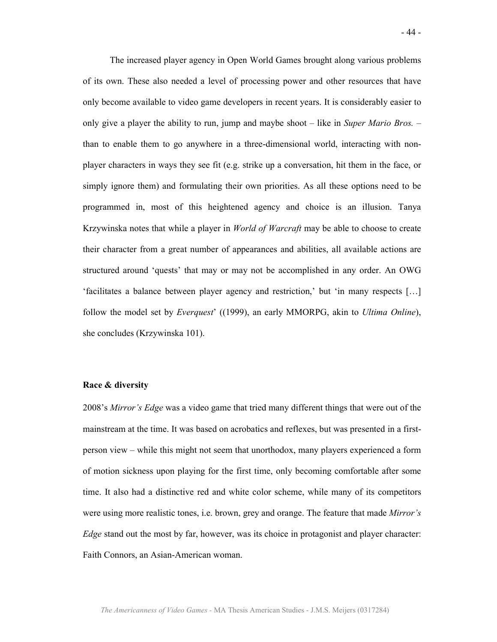The increased player agency in Open World Games brought along various problems of its own. These also needed a level of processing power and other resources that have only become available to video game developers in recent years. It is considerably easier to only give a player the ability to run, jump and maybe shoot – like in *Super Mario Bros.* – than to enable them to go anywhere in a three-dimensional world, interacting with nonplayer characters in ways they see fit (e.g. strike up a conversation, hit them in the face, or simply ignore them) and formulating their own priorities. As all these options need to be programmed in, most of this heightened agency and choice is an illusion. Tanya Krzywinska notes that while a player in *World of Warcraft* may be able to choose to create their character from a great number of appearances and abilities, all available actions are structured around 'quests' that may or may not be accomplished in any order. An OWG 'facilitates a balance between player agency and restriction,' but 'in many respects […] follow the model set by *Everquest*' ((1999), an early MMORPG, akin to *Ultima Online*), she concludes (Krzywinska 101).

## **Race & diversity**

2008's *Mirror's Edge* was a video game that tried many different things that were out of the mainstream at the time. It was based on acrobatics and reflexes, but was presented in a firstperson view – while this might not seem that unorthodox, many players experienced a form of motion sickness upon playing for the first time, only becoming comfortable after some time. It also had a distinctive red and white color scheme, while many of its competitors were using more realistic tones, i.e. brown, grey and orange. The feature that made *Mirror's Edge* stand out the most by far, however, was its choice in protagonist and player character: Faith Connors, an Asian-American woman.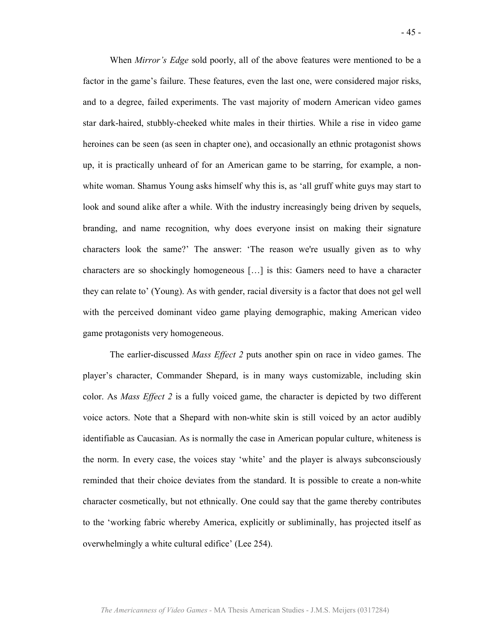When *Mirror's Edge* sold poorly, all of the above features were mentioned to be a factor in the game's failure. These features, even the last one, were considered major risks, and to a degree, failed experiments. The vast majority of modern American video games star dark-haired, stubbly-cheeked white males in their thirties. While a rise in video game heroines can be seen (as seen in chapter one), and occasionally an ethnic protagonist shows up, it is practically unheard of for an American game to be starring, for example, a nonwhite woman. Shamus Young asks himself why this is, as 'all gruff white guys may start to look and sound alike after a while. With the industry increasingly being driven by sequels, branding, and name recognition, why does everyone insist on making their signature characters look the same?' The answer: 'The reason we're usually given as to why characters are so shockingly homogeneous […] is this: Gamers need to have a character they can relate to' (Young). As with gender, racial diversity is a factor that does not gel well with the perceived dominant video game playing demographic, making American video game protagonists very homogeneous.

 The earlier-discussed *Mass Effect 2* puts another spin on race in video games. The player's character, Commander Shepard, is in many ways customizable, including skin color. As *Mass Effect 2* is a fully voiced game, the character is depicted by two different voice actors. Note that a Shepard with non-white skin is still voiced by an actor audibly identifiable as Caucasian. As is normally the case in American popular culture, whiteness is the norm. In every case, the voices stay 'white' and the player is always subconsciously reminded that their choice deviates from the standard. It is possible to create a non-white character cosmetically, but not ethnically. One could say that the game thereby contributes to the 'working fabric whereby America, explicitly or subliminally, has projected itself as overwhelmingly a white cultural edifice' (Lee 254).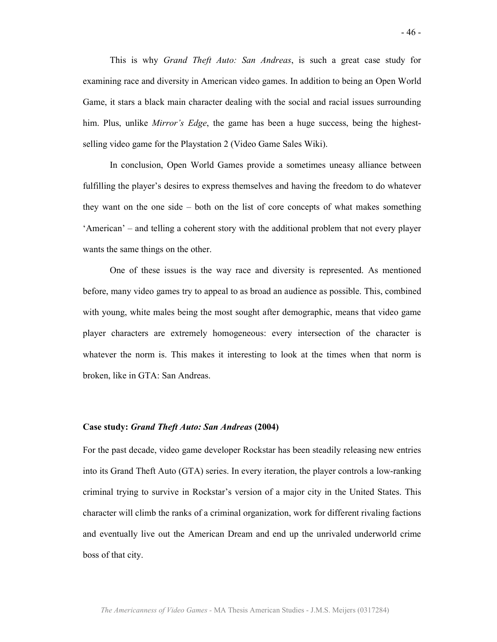This is why *Grand Theft Auto: San Andreas*, is such a great case study for examining race and diversity in American video games. In addition to being an Open World Game, it stars a black main character dealing with the social and racial issues surrounding him. Plus, unlike *Mirror's Edge*, the game has been a huge success, being the highestselling video game for the Playstation 2 (Video Game Sales Wiki).

In conclusion, Open World Games provide a sometimes uneasy alliance between fulfilling the player's desires to express themselves and having the freedom to do whatever they want on the one side – both on the list of core concepts of what makes something 'American' – and telling a coherent story with the additional problem that not every player wants the same things on the other.

One of these issues is the way race and diversity is represented. As mentioned before, many video games try to appeal to as broad an audience as possible. This, combined with young, white males being the most sought after demographic, means that video game player characters are extremely homogeneous: every intersection of the character is whatever the norm is. This makes it interesting to look at the times when that norm is broken, like in GTA: San Andreas.

#### **Case study:** *Grand Theft Auto: San Andreas* **(2004)**

For the past decade, video game developer Rockstar has been steadily releasing new entries into its Grand Theft Auto (GTA) series. In every iteration, the player controls a low-ranking criminal trying to survive in Rockstar's version of a major city in the United States. This character will climb the ranks of a criminal organization, work for different rivaling factions and eventually live out the American Dream and end up the unrivaled underworld crime boss of that city.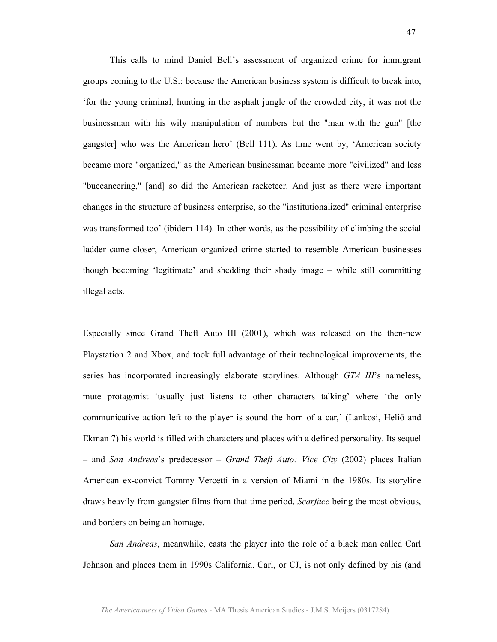This calls to mind Daniel Bell's assessment of organized crime for immigrant groups coming to the U.S.: because the American business system is difficult to break into, 'for the young criminal, hunting in the asphalt jungle of the crowded city, it was not the businessman with his wily manipulation of numbers but the "man with the gun" [the gangster] who was the American hero' (Bell 111). As time went by, 'American society became more "organized," as the American businessman became more "civilized" and less "buccaneering," [and] so did the American racketeer. And just as there were important changes in the structure of business enterprise, so the "institutionalized" criminal enterprise was transformed too' (ibidem 114). In other words, as the possibility of climbing the social ladder came closer, American organized crime started to resemble American businesses though becoming 'legitimate' and shedding their shady image – while still committing illegal acts.

Especially since Grand Theft Auto III (2001), which was released on the then-new Playstation 2 and Xbox, and took full advantage of their technological improvements, the series has incorporated increasingly elaborate storylines. Although *GTA III*'s nameless, mute protagonist 'usually just listens to other characters talking' where 'the only communicative action left to the player is sound the horn of a car,' (Lankosi, Heliö and Ekman 7) his world is filled with characters and places with a defined personality. Its sequel – and *San Andreas*'s predecessor – *Grand Theft Auto: Vice City* (2002) places Italian American ex-convict Tommy Vercetti in a version of Miami in the 1980s. Its storyline draws heavily from gangster films from that time period, *Scarface* being the most obvious, and borders on being an homage.

*San Andreas*, meanwhile, casts the player into the role of a black man called Carl Johnson and places them in 1990s California. Carl, or CJ, is not only defined by his (and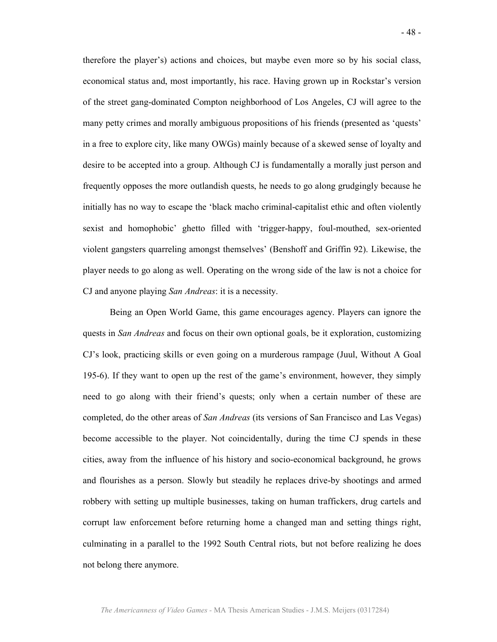therefore the player's) actions and choices, but maybe even more so by his social class, economical status and, most importantly, his race. Having grown up in Rockstar's version of the street gang-dominated Compton neighborhood of Los Angeles, CJ will agree to the many petty crimes and morally ambiguous propositions of his friends (presented as 'quests' in a free to explore city, like many OWGs) mainly because of a skewed sense of loyalty and desire to be accepted into a group. Although CJ is fundamentally a morally just person and frequently opposes the more outlandish quests, he needs to go along grudgingly because he initially has no way to escape the 'black macho criminal-capitalist ethic and often violently sexist and homophobic' ghetto filled with 'trigger-happy, foul-mouthed, sex-oriented violent gangsters quarreling amongst themselves' (Benshoff and Griffin 92). Likewise, the player needs to go along as well. Operating on the wrong side of the law is not a choice for CJ and anyone playing *San Andreas*: it is a necessity.

Being an Open World Game, this game encourages agency. Players can ignore the quests in *San Andreas* and focus on their own optional goals, be it exploration, customizing CJ's look, practicing skills or even going on a murderous rampage (Juul, Without A Goal 195-6). If they want to open up the rest of the game's environment, however, they simply need to go along with their friend's quests; only when a certain number of these are completed, do the other areas of *San Andreas* (its versions of San Francisco and Las Vegas) become accessible to the player. Not coincidentally, during the time CJ spends in these cities, away from the influence of his history and socio-economical background, he grows and flourishes as a person. Slowly but steadily he replaces drive-by shootings and armed robbery with setting up multiple businesses, taking on human traffickers, drug cartels and corrupt law enforcement before returning home a changed man and setting things right, culminating in a parallel to the 1992 South Central riots, but not before realizing he does not belong there anymore.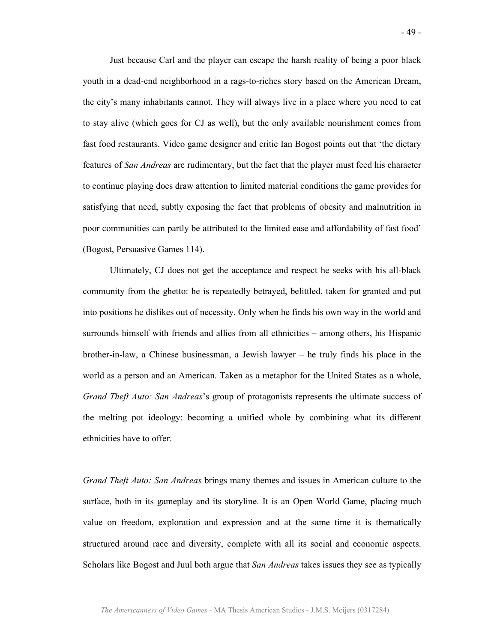Just because Carl and the player can escape the harsh reality of being a poor black youth in a dead-end neighborhood in a rags-to-riches story based on the American Dream, the city's many inhabitants cannot. They will always live in a place where you need to eat to stay alive (which goes for CJ as well), but the only available nourishment comes from fast food restaurants. Video game designer and critic Ian Bogost points out that 'the dietary features of *San Andreas* are rudimentary, but the fact that the player must feed his character to continue playing does draw attention to limited material conditions the game provides for satisfying that need, subtly exposing the fact that problems of obesity and malnutrition in poor communities can partly be attributed to the limited ease and affordability of fast food' (Bogost, Persuasive Games 114).

Ultimately, CJ does not get the acceptance and respect he seeks with his all-black community from the ghetto: he is repeatedly betrayed, belittled, taken for granted and put into positions he dislikes out of necessity. Only when he finds his own way in the world and surrounds himself with friends and allies from all ethnicities – among others, his Hispanic brother-in-law, a Chinese businessman, a Jewish lawyer – he truly finds his place in the world as a person and an American. Taken as a metaphor for the United States as a whole, *Grand Theft Auto: San Andreas*'s group of protagonists represents the ultimate success of the melting pot ideology: becoming a unified whole by combining what its different ethnicities have to offer.

*Grand Theft Auto: San Andreas* brings many themes and issues in American culture to the surface, both in its gameplay and its storyline. It is an Open World Game, placing much value on freedom, exploration and expression and at the same time it is thematically structured around race and diversity, complete with all its social and economic aspects. Scholars like Bogost and Juul both argue that *San Andreas* takes issues they see as typically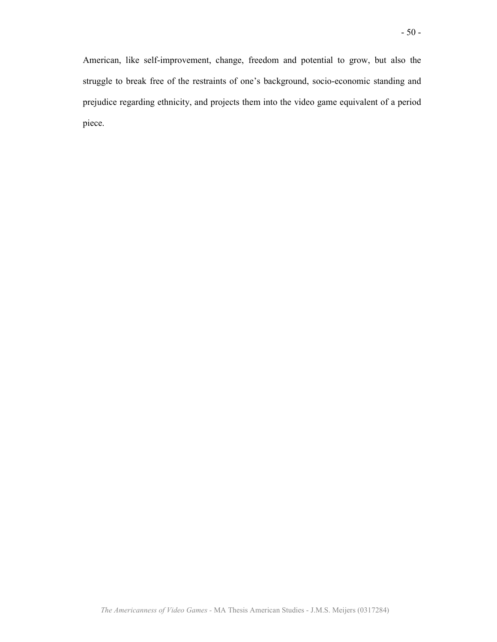American, like self-improvement, change, freedom and potential to grow, but also the struggle to break free of the restraints of one's background, socio-economic standing and prejudice regarding ethnicity, and projects them into the video game equivalent of a period piece.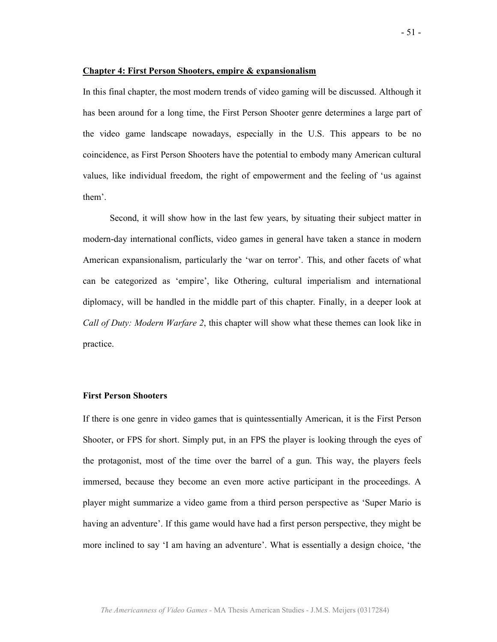# **Chapter 4: First Person Shooters, empire & expansionalism**

In this final chapter, the most modern trends of video gaming will be discussed. Although it has been around for a long time, the First Person Shooter genre determines a large part of the video game landscape nowadays, especially in the U.S. This appears to be no coincidence, as First Person Shooters have the potential to embody many American cultural values, like individual freedom, the right of empowerment and the feeling of 'us against them'.

Second, it will show how in the last few years, by situating their subject matter in modern-day international conflicts, video games in general have taken a stance in modern American expansionalism, particularly the 'war on terror'. This, and other facets of what can be categorized as 'empire', like Othering, cultural imperialism and international diplomacy, will be handled in the middle part of this chapter. Finally, in a deeper look at *Call of Duty: Modern Warfare 2*, this chapter will show what these themes can look like in practice.

#### **First Person Shooters**

If there is one genre in video games that is quintessentially American, it is the First Person Shooter, or FPS for short. Simply put, in an FPS the player is looking through the eyes of the protagonist, most of the time over the barrel of a gun. This way, the players feels immersed, because they become an even more active participant in the proceedings. A player might summarize a video game from a third person perspective as 'Super Mario is having an adventure'. If this game would have had a first person perspective, they might be more inclined to say 'I am having an adventure'. What is essentially a design choice, 'the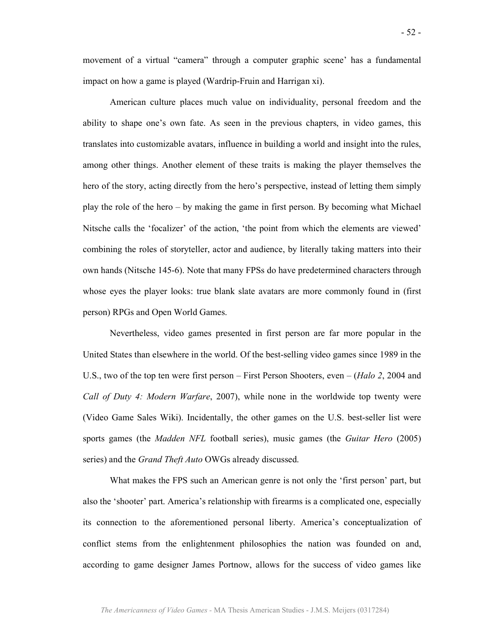movement of a virtual "camera" through a computer graphic scene' has a fundamental impact on how a game is played (Wardrip-Fruin and Harrigan xi).

 American culture places much value on individuality, personal freedom and the ability to shape one's own fate. As seen in the previous chapters, in video games, this translates into customizable avatars, influence in building a world and insight into the rules, among other things. Another element of these traits is making the player themselves the hero of the story, acting directly from the hero's perspective, instead of letting them simply play the role of the hero – by making the game in first person. By becoming what Michael Nitsche calls the 'focalizer' of the action, 'the point from which the elements are viewed' combining the roles of storyteller, actor and audience, by literally taking matters into their own hands (Nitsche 145-6). Note that many FPSs do have predetermined characters through whose eyes the player looks: true blank slate avatars are more commonly found in (first person) RPGs and Open World Games.

Nevertheless, video games presented in first person are far more popular in the United States than elsewhere in the world. Of the best-selling video games since 1989 in the U.S., two of the top ten were first person – First Person Shooters, even – (*Halo 2*, 2004 and *Call of Duty 4: Modern Warfare*, 2007), while none in the worldwide top twenty were (Video Game Sales Wiki). Incidentally, the other games on the U.S. best-seller list were sports games (the *Madden NFL* football series), music games (the *Guitar Hero* (2005) series) and the *Grand Theft Auto* OWGs already discussed.

 What makes the FPS such an American genre is not only the 'first person' part, but also the 'shooter' part. America's relationship with firearms is a complicated one, especially its connection to the aforementioned personal liberty. America's conceptualization of conflict stems from the enlightenment philosophies the nation was founded on and, according to game designer James Portnow, allows for the success of video games like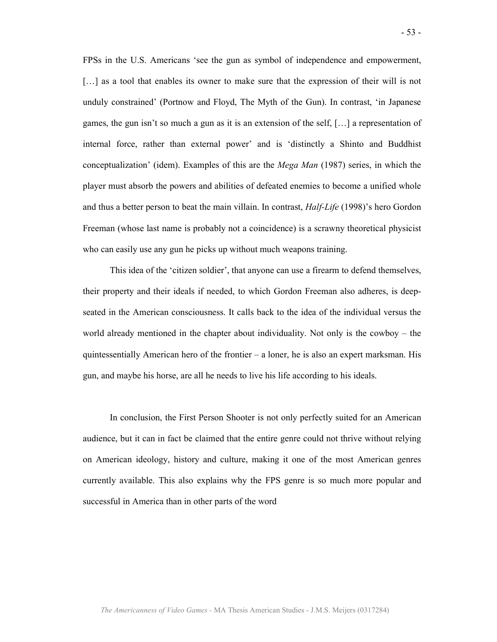FPSs in the U.S. Americans 'see the gun as symbol of independence and empowerment, [...] as a tool that enables its owner to make sure that the expression of their will is not unduly constrained' (Portnow and Floyd, The Myth of the Gun). In contrast, 'in Japanese games, the gun isn't so much a gun as it is an extension of the self, […] a representation of internal force, rather than external power' and is 'distinctly a Shinto and Buddhist conceptualization' (idem). Examples of this are the *Mega Man* (1987) series, in which the player must absorb the powers and abilities of defeated enemies to become a unified whole and thus a better person to beat the main villain. In contrast, *Half-Life* (1998)'s hero Gordon Freeman (whose last name is probably not a coincidence) is a scrawny theoretical physicist who can easily use any gun he picks up without much weapons training.

 This idea of the 'citizen soldier', that anyone can use a firearm to defend themselves, their property and their ideals if needed, to which Gordon Freeman also adheres, is deepseated in the American consciousness. It calls back to the idea of the individual versus the world already mentioned in the chapter about individuality. Not only is the cowboy – the quintessentially American hero of the frontier – a loner, he is also an expert marksman. His gun, and maybe his horse, are all he needs to live his life according to his ideals.

In conclusion, the First Person Shooter is not only perfectly suited for an American audience, but it can in fact be claimed that the entire genre could not thrive without relying on American ideology, history and culture, making it one of the most American genres currently available. This also explains why the FPS genre is so much more popular and successful in America than in other parts of the word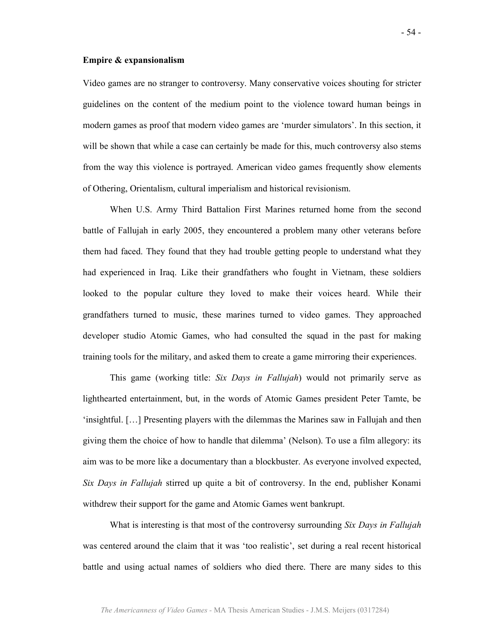#### **Empire & expansionalism**

Video games are no stranger to controversy. Many conservative voices shouting for stricter guidelines on the content of the medium point to the violence toward human beings in modern games as proof that modern video games are 'murder simulators'. In this section, it will be shown that while a case can certainly be made for this, much controversy also stems from the way this violence is portrayed. American video games frequently show elements of Othering, Orientalism, cultural imperialism and historical revisionism.

When U.S. Army Third Battalion First Marines returned home from the second battle of Fallujah in early 2005, they encountered a problem many other veterans before them had faced. They found that they had trouble getting people to understand what they had experienced in Iraq. Like their grandfathers who fought in Vietnam, these soldiers looked to the popular culture they loved to make their voices heard. While their grandfathers turned to music, these marines turned to video games. They approached developer studio Atomic Games, who had consulted the squad in the past for making training tools for the military, and asked them to create a game mirroring their experiences.

This game (working title: *Six Days in Fallujah*) would not primarily serve as lighthearted entertainment, but, in the words of Atomic Games president Peter Tamte, be 'insightful. […] Presenting players with the dilemmas the Marines saw in Fallujah and then giving them the choice of how to handle that dilemma' (Nelson). To use a film allegory: its aim was to be more like a documentary than a blockbuster. As everyone involved expected, *Six Days in Fallujah* stirred up quite a bit of controversy. In the end, publisher Konami withdrew their support for the game and Atomic Games went bankrupt.

 What is interesting is that most of the controversy surrounding *Six Days in Fallujah* was centered around the claim that it was 'too realistic', set during a real recent historical battle and using actual names of soldiers who died there. There are many sides to this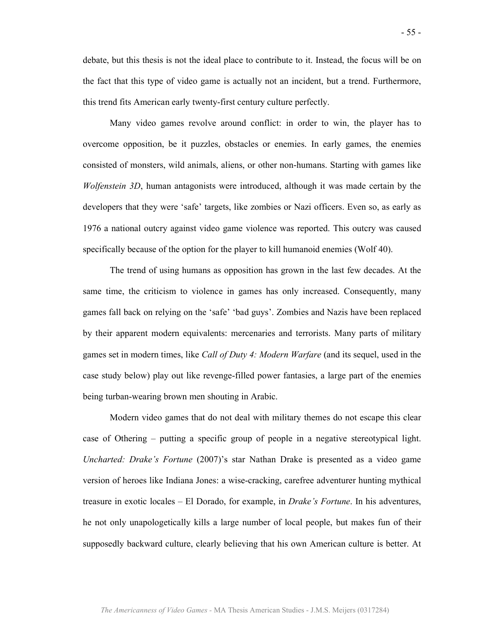Many video games revolve around conflict: in order to win, the player has to overcome opposition, be it puzzles, obstacles or enemies. In early games, the enemies consisted of monsters, wild animals, aliens, or other non-humans. Starting with games like *Wolfenstein 3D*, human antagonists were introduced, although it was made certain by the developers that they were 'safe' targets, like zombies or Nazi officers. Even so, as early as 1976 a national outcry against video game violence was reported. This outcry was caused specifically because of the option for the player to kill humanoid enemies (Wolf 40).

 The trend of using humans as opposition has grown in the last few decades. At the same time, the criticism to violence in games has only increased. Consequently, many games fall back on relying on the 'safe' 'bad guys'. Zombies and Nazis have been replaced by their apparent modern equivalents: mercenaries and terrorists. Many parts of military games set in modern times, like *Call of Duty 4: Modern Warfare* (and its sequel, used in the case study below) play out like revenge-filled power fantasies, a large part of the enemies being turban-wearing brown men shouting in Arabic.

Modern video games that do not deal with military themes do not escape this clear case of Othering – putting a specific group of people in a negative stereotypical light. *Uncharted: Drake's Fortune* (2007)'s star Nathan Drake is presented as a video game version of heroes like Indiana Jones: a wise-cracking, carefree adventurer hunting mythical treasure in exotic locales – El Dorado, for example, in *Drake's Fortune*. In his adventures, he not only unapologetically kills a large number of local people, but makes fun of their supposedly backward culture, clearly believing that his own American culture is better. At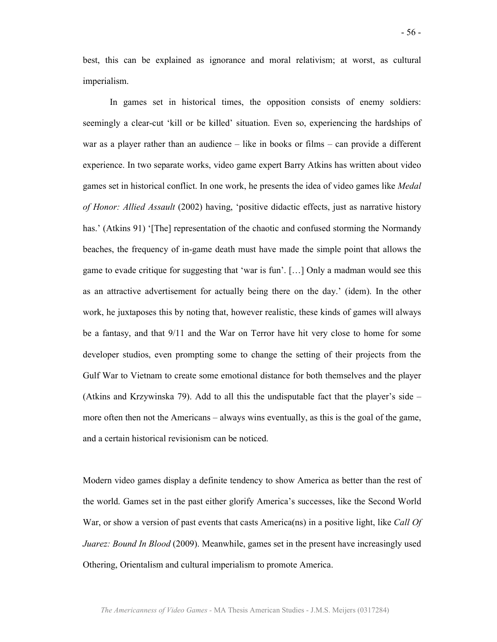best, this can be explained as ignorance and moral relativism; at worst, as cultural imperialism.

In games set in historical times, the opposition consists of enemy soldiers: seemingly a clear-cut 'kill or be killed' situation. Even so, experiencing the hardships of war as a player rather than an audience – like in books or films – can provide a different experience. In two separate works, video game expert Barry Atkins has written about video games set in historical conflict. In one work, he presents the idea of video games like *Medal of Honor: Allied Assault* (2002) having, 'positive didactic effects, just as narrative history has.' (Atkins 91) '[The] representation of the chaotic and confused storming the Normandy beaches, the frequency of in-game death must have made the simple point that allows the game to evade critique for suggesting that 'war is fun'. […] Only a madman would see this as an attractive advertisement for actually being there on the day.' (idem). In the other work, he juxtaposes this by noting that, however realistic, these kinds of games will always be a fantasy, and that 9/11 and the War on Terror have hit very close to home for some developer studios, even prompting some to change the setting of their projects from the Gulf War to Vietnam to create some emotional distance for both themselves and the player (Atkins and Krzywinska 79). Add to all this the undisputable fact that the player's side – more often then not the Americans – always wins eventually, as this is the goal of the game, and a certain historical revisionism can be noticed.

Modern video games display a definite tendency to show America as better than the rest of the world. Games set in the past either glorify America's successes, like the Second World War, or show a version of past events that casts America(ns) in a positive light, like *Call Of Juarez: Bound In Blood* (2009). Meanwhile, games set in the present have increasingly used Othering, Orientalism and cultural imperialism to promote America.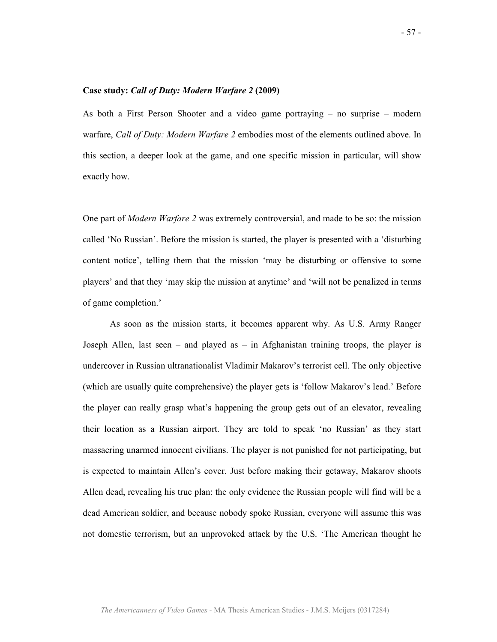## **Case study:** *Call of Duty: Modern Warfare 2* **(2009)**

As both a First Person Shooter and a video game portraying – no surprise – modern warfare, *Call of Duty: Modern Warfare 2* embodies most of the elements outlined above. In this section, a deeper look at the game, and one specific mission in particular, will show exactly how.

One part of *Modern Warfare 2* was extremely controversial, and made to be so: the mission called 'No Russian'. Before the mission is started, the player is presented with a 'disturbing content notice', telling them that the mission 'may be disturbing or offensive to some players' and that they 'may skip the mission at anytime' and 'will not be penalized in terms of game completion.'

As soon as the mission starts, it becomes apparent why. As U.S. Army Ranger Joseph Allen, last seen – and played as – in Afghanistan training troops, the player is undercover in Russian ultranationalist Vladimir Makarov's terrorist cell. The only objective (which are usually quite comprehensive) the player gets is 'follow Makarov's lead.' Before the player can really grasp what's happening the group gets out of an elevator, revealing their location as a Russian airport. They are told to speak 'no Russian' as they start massacring unarmed innocent civilians. The player is not punished for not participating, but is expected to maintain Allen's cover. Just before making their getaway, Makarov shoots Allen dead, revealing his true plan: the only evidence the Russian people will find will be a dead American soldier, and because nobody spoke Russian, everyone will assume this was not domestic terrorism, but an unprovoked attack by the U.S. 'The American thought he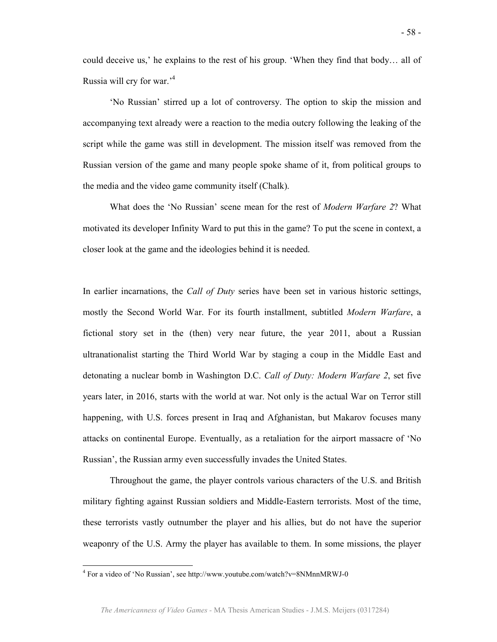could deceive us,' he explains to the rest of his group. 'When they find that body… all of Russia will cry for war.'<sup>4</sup>

 'No Russian' stirred up a lot of controversy. The option to skip the mission and accompanying text already were a reaction to the media outcry following the leaking of the script while the game was still in development. The mission itself was removed from the Russian version of the game and many people spoke shame of it, from political groups to the media and the video game community itself (Chalk).

What does the 'No Russian' scene mean for the rest of *Modern Warfare 2*? What motivated its developer Infinity Ward to put this in the game? To put the scene in context, a closer look at the game and the ideologies behind it is needed.

In earlier incarnations, the *Call of Duty* series have been set in various historic settings, mostly the Second World War. For its fourth installment, subtitled *Modern Warfare*, a fictional story set in the (then) very near future, the year 2011, about a Russian ultranationalist starting the Third World War by staging a coup in the Middle East and detonating a nuclear bomb in Washington D.C. *Call of Duty: Modern Warfare 2*, set five years later, in 2016, starts with the world at war. Not only is the actual War on Terror still happening, with U.S. forces present in Iraq and Afghanistan, but Makarov focuses many attacks on continental Europe. Eventually, as a retaliation for the airport massacre of 'No Russian', the Russian army even successfully invades the United States.

 Throughout the game, the player controls various characters of the U.S. and British military fighting against Russian soldiers and Middle-Eastern terrorists. Most of the time, these terrorists vastly outnumber the player and his allies, but do not have the superior weaponry of the U.S. Army the player has available to them. In some missions, the player

 $\ddot{\phantom{a}}$ 

<sup>&</sup>lt;sup>4</sup> For a video of 'No Russian', see http://www.youtube.com/watch?v=8NMnnMRWJ-0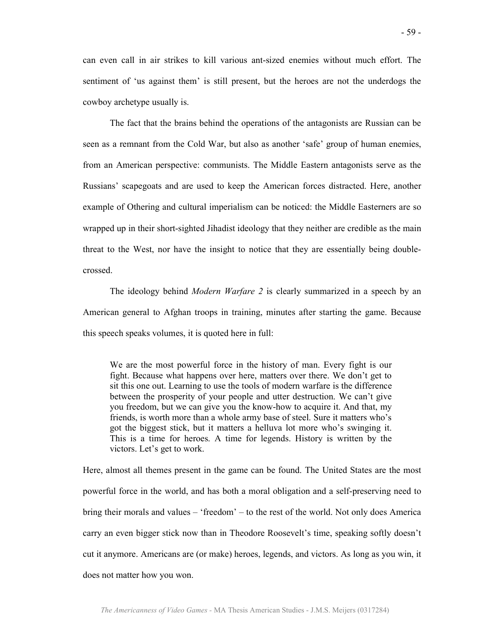can even call in air strikes to kill various ant-sized enemies without much effort. The sentiment of 'us against them' is still present, but the heroes are not the underdogs the cowboy archetype usually is.

The fact that the brains behind the operations of the antagonists are Russian can be seen as a remnant from the Cold War, but also as another 'safe' group of human enemies, from an American perspective: communists. The Middle Eastern antagonists serve as the Russians' scapegoats and are used to keep the American forces distracted. Here, another example of Othering and cultural imperialism can be noticed: the Middle Easterners are so wrapped up in their short-sighted Jihadist ideology that they neither are credible as the main threat to the West, nor have the insight to notice that they are essentially being doublecrossed.

 The ideology behind *Modern Warfare 2* is clearly summarized in a speech by an American general to Afghan troops in training, minutes after starting the game. Because this speech speaks volumes, it is quoted here in full:

We are the most powerful force in the history of man. Every fight is our fight. Because what happens over here, matters over there. We don't get to sit this one out. Learning to use the tools of modern warfare is the difference between the prosperity of your people and utter destruction. We can't give you freedom, but we can give you the know-how to acquire it. And that, my friends, is worth more than a whole army base of steel. Sure it matters who's got the biggest stick, but it matters a helluva lot more who's swinging it. This is a time for heroes. A time for legends. History is written by the victors. Let's get to work.

Here, almost all themes present in the game can be found. The United States are the most powerful force in the world, and has both a moral obligation and a self-preserving need to bring their morals and values – 'freedom' – to the rest of the world. Not only does America carry an even bigger stick now than in Theodore Roosevelt's time, speaking softly doesn't cut it anymore. Americans are (or make) heroes, legends, and victors. As long as you win, it does not matter how you won.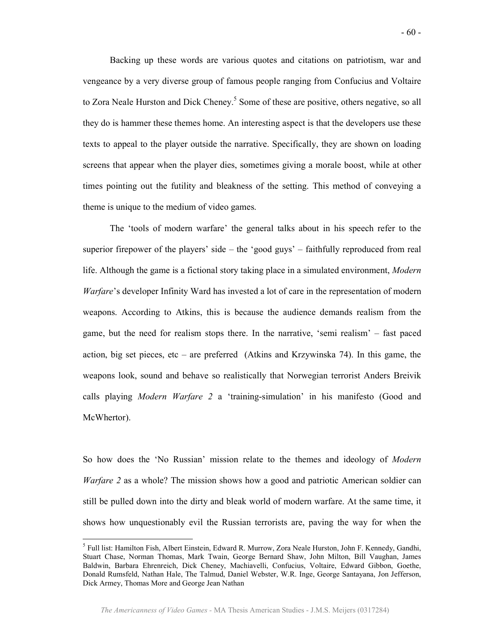Backing up these words are various quotes and citations on patriotism, war and vengeance by a very diverse group of famous people ranging from Confucius and Voltaire to Zora Neale Hurston and Dick Cheney.<sup>5</sup> Some of these are positive, others negative, so all they do is hammer these themes home. An interesting aspect is that the developers use these texts to appeal to the player outside the narrative. Specifically, they are shown on loading screens that appear when the player dies, sometimes giving a morale boost, while at other times pointing out the futility and bleakness of the setting. This method of conveying a theme is unique to the medium of video games.

 The 'tools of modern warfare' the general talks about in his speech refer to the superior firepower of the players' side – the 'good guys' – faithfully reproduced from real life. Although the game is a fictional story taking place in a simulated environment, *Modern Warfare*'s developer Infinity Ward has invested a lot of care in the representation of modern weapons. According to Atkins, this is because the audience demands realism from the game, but the need for realism stops there. In the narrative, 'semi realism' – fast paced action, big set pieces, etc – are preferred (Atkins and Krzywinska 74). In this game, the weapons look, sound and behave so realistically that Norwegian terrorist Anders Breivik calls playing *Modern Warfare 2* a 'training-simulation' in his manifesto (Good and McWhertor).

So how does the 'No Russian' mission relate to the themes and ideology of *Modern Warfare 2* as a whole? The mission shows how a good and patriotic American soldier can still be pulled down into the dirty and bleak world of modern warfare. At the same time, it shows how unquestionably evil the Russian terrorists are, paving the way for when the

 $\overline{a}$ 

<sup>5</sup> Full list: Hamilton Fish, Albert Einstein, Edward R. Murrow, Zora Neale Hurston, John F. Kennedy, Gandhi, Stuart Chase, Norman Thomas, Mark Twain, George Bernard Shaw, John Milton, Bill Vaughan, James Baldwin, Barbara Ehrenreich, Dick Cheney, Machiavelli, Confucius, Voltaire, Edward Gibbon, Goethe, Donald Rumsfeld, Nathan Hale, The Talmud, Daniel Webster, W.R. Inge, George Santayana, Jon Jefferson, Dick Armey, Thomas More and George Jean Nathan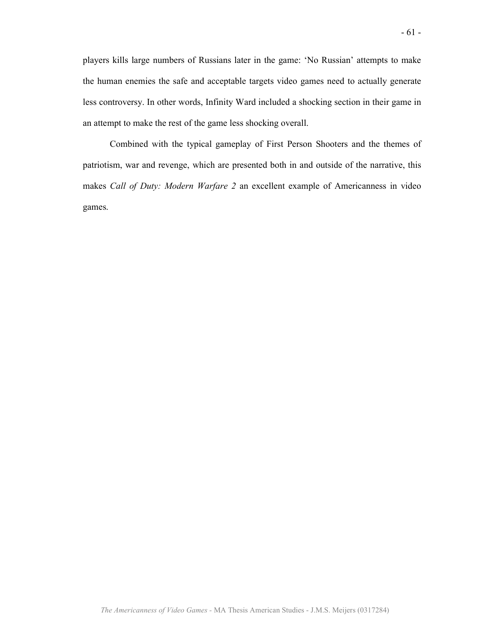players kills large numbers of Russians later in the game: 'No Russian' attempts to make the human enemies the safe and acceptable targets video games need to actually generate less controversy. In other words, Infinity Ward included a shocking section in their game in an attempt to make the rest of the game less shocking overall.

Combined with the typical gameplay of First Person Shooters and the themes of patriotism, war and revenge, which are presented both in and outside of the narrative, this makes *Call of Duty: Modern Warfare 2* an excellent example of Americanness in video games.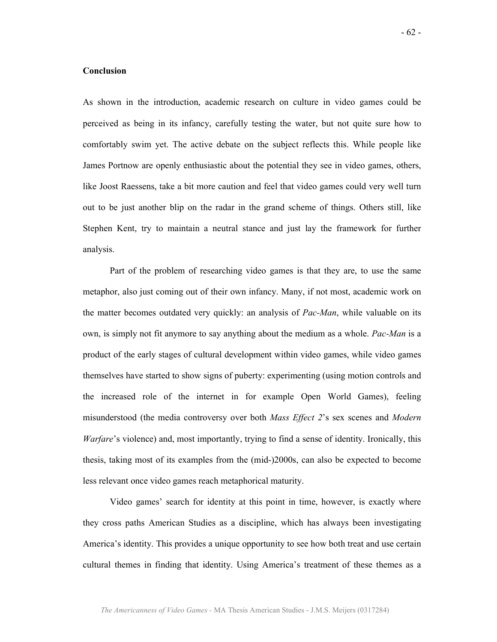# **Conclusion**

As shown in the introduction, academic research on culture in video games could be perceived as being in its infancy, carefully testing the water, but not quite sure how to comfortably swim yet. The active debate on the subject reflects this. While people like James Portnow are openly enthusiastic about the potential they see in video games, others, like Joost Raessens, take a bit more caution and feel that video games could very well turn out to be just another blip on the radar in the grand scheme of things. Others still, like Stephen Kent, try to maintain a neutral stance and just lay the framework for further analysis.

 Part of the problem of researching video games is that they are, to use the same metaphor, also just coming out of their own infancy. Many, if not most, academic work on the matter becomes outdated very quickly: an analysis of *Pac-Man*, while valuable on its own, is simply not fit anymore to say anything about the medium as a whole. *Pac-Man* is a product of the early stages of cultural development within video games, while video games themselves have started to show signs of puberty: experimenting (using motion controls and the increased role of the internet in for example Open World Games), feeling misunderstood (the media controversy over both *Mass Effect 2*'s sex scenes and *Modern Warfare*'s violence) and, most importantly, trying to find a sense of identity. Ironically, this thesis, taking most of its examples from the (mid-)2000s, can also be expected to become less relevant once video games reach metaphorical maturity.

 Video games' search for identity at this point in time, however, is exactly where they cross paths American Studies as a discipline, which has always been investigating America's identity. This provides a unique opportunity to see how both treat and use certain cultural themes in finding that identity. Using America's treatment of these themes as a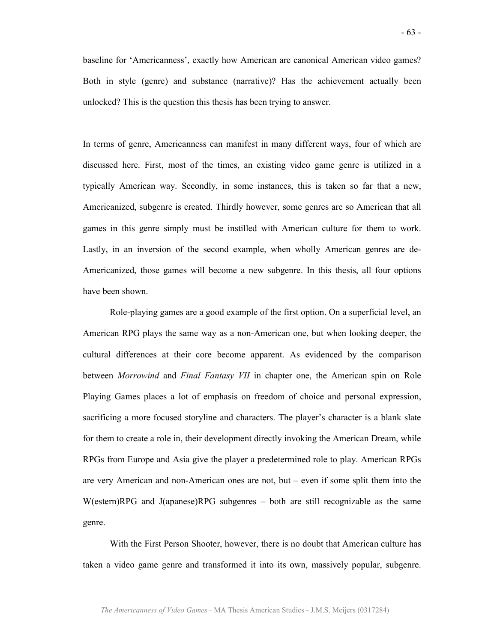In terms of genre, Americanness can manifest in many different ways, four of which are discussed here. First, most of the times, an existing video game genre is utilized in a typically American way. Secondly, in some instances, this is taken so far that a new, Americanized, subgenre is created. Thirdly however, some genres are so American that all games in this genre simply must be instilled with American culture for them to work. Lastly, in an inversion of the second example, when wholly American genres are de-Americanized, those games will become a new subgenre. In this thesis, all four options have been shown.

Role-playing games are a good example of the first option. On a superficial level, an American RPG plays the same way as a non-American one, but when looking deeper, the cultural differences at their core become apparent. As evidenced by the comparison between *Morrowind* and *Final Fantasy VII* in chapter one, the American spin on Role Playing Games places a lot of emphasis on freedom of choice and personal expression, sacrificing a more focused storyline and characters. The player's character is a blank slate for them to create a role in, their development directly invoking the American Dream, while RPGs from Europe and Asia give the player a predetermined role to play. American RPGs are very American and non-American ones are not, but – even if some split them into the W(estern)RPG and J(apanese)RPG subgenres – both are still recognizable as the same genre.

With the First Person Shooter, however, there is no doubt that American culture has taken a video game genre and transformed it into its own, massively popular, subgenre.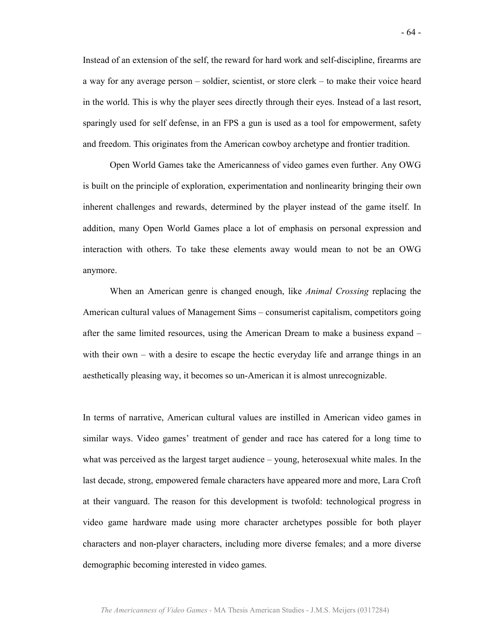Instead of an extension of the self, the reward for hard work and self-discipline, firearms are a way for any average person – soldier, scientist, or store clerk – to make their voice heard in the world. This is why the player sees directly through their eyes. Instead of a last resort, sparingly used for self defense, in an FPS a gun is used as a tool for empowerment, safety and freedom. This originates from the American cowboy archetype and frontier tradition.

Open World Games take the Americanness of video games even further. Any OWG is built on the principle of exploration, experimentation and nonlinearity bringing their own inherent challenges and rewards, determined by the player instead of the game itself. In addition, many Open World Games place a lot of emphasis on personal expression and interaction with others. To take these elements away would mean to not be an OWG anymore.

When an American genre is changed enough, like *Animal Crossing* replacing the American cultural values of Management Sims – consumerist capitalism, competitors going after the same limited resources, using the American Dream to make a business expand – with their own – with a desire to escape the hectic everyday life and arrange things in an aesthetically pleasing way, it becomes so un-American it is almost unrecognizable.

In terms of narrative, American cultural values are instilled in American video games in similar ways. Video games' treatment of gender and race has catered for a long time to what was perceived as the largest target audience – young, heterosexual white males. In the last decade, strong, empowered female characters have appeared more and more, Lara Croft at their vanguard. The reason for this development is twofold: technological progress in video game hardware made using more character archetypes possible for both player characters and non-player characters, including more diverse females; and a more diverse demographic becoming interested in video games.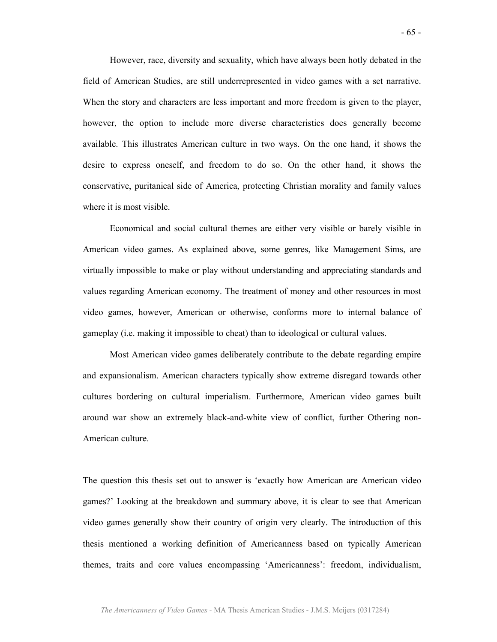However, race, diversity and sexuality, which have always been hotly debated in the field of American Studies, are still underrepresented in video games with a set narrative. When the story and characters are less important and more freedom is given to the player, however, the option to include more diverse characteristics does generally become available. This illustrates American culture in two ways. On the one hand, it shows the desire to express oneself, and freedom to do so. On the other hand, it shows the conservative, puritanical side of America, protecting Christian morality and family values where it is most visible.

Economical and social cultural themes are either very visible or barely visible in American video games. As explained above, some genres, like Management Sims, are virtually impossible to make or play without understanding and appreciating standards and values regarding American economy. The treatment of money and other resources in most video games, however, American or otherwise, conforms more to internal balance of gameplay (i.e. making it impossible to cheat) than to ideological or cultural values.

Most American video games deliberately contribute to the debate regarding empire and expansionalism. American characters typically show extreme disregard towards other cultures bordering on cultural imperialism. Furthermore, American video games built around war show an extremely black-and-white view of conflict, further Othering non-American culture.

The question this thesis set out to answer is 'exactly how American are American video games?' Looking at the breakdown and summary above, it is clear to see that American video games generally show their country of origin very clearly. The introduction of this thesis mentioned a working definition of Americanness based on typically American themes, traits and core values encompassing 'Americanness': freedom, individualism,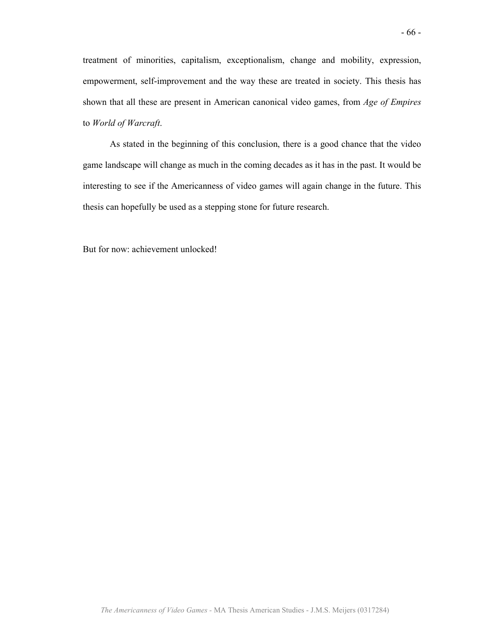treatment of minorities, capitalism, exceptionalism, change and mobility, expression, empowerment, self-improvement and the way these are treated in society. This thesis has shown that all these are present in American canonical video games, from *Age of Empires* to *World of Warcraft*.

As stated in the beginning of this conclusion, there is a good chance that the video game landscape will change as much in the coming decades as it has in the past. It would be interesting to see if the Americanness of video games will again change in the future. This thesis can hopefully be used as a stepping stone for future research.

But for now: achievement unlocked!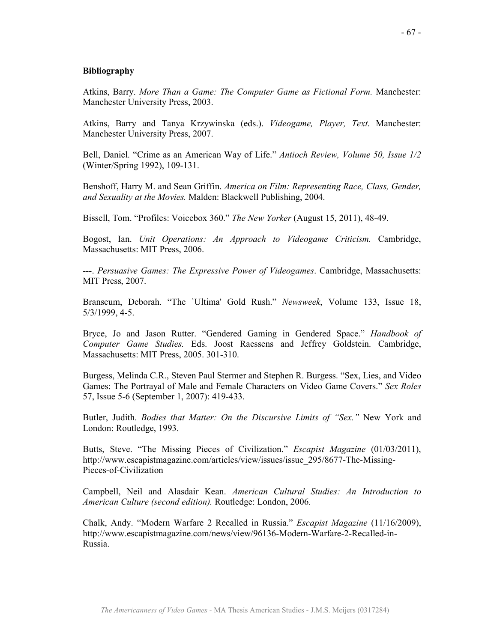# **Bibliography**

Atkins, Barry. *More Than a Game: The Computer Game as Fictional Form.* Manchester: Manchester University Press, 2003.

Atkins, Barry and Tanya Krzywinska (eds.). *Videogame, Player, Text*. Manchester: Manchester University Press, 2007.

Bell, Daniel. "Crime as an American Way of Life." *Antioch Review, Volume 50, Issue 1/2* (Winter/Spring 1992), 109-131.

Benshoff, Harry M. and Sean Griffin. *America on Film: Representing Race, Class, Gender, and Sexuality at the Movies.* Malden: Blackwell Publishing, 2004.

Bissell, Tom. "Profiles: Voicebox 360." *The New Yorker* (August 15, 2011), 48-49.

Bogost, Ian. *Unit Operations: An Approach to Videogame Criticism.* Cambridge, Massachusetts: MIT Press, 2006.

---. *Persuasive Games: The Expressive Power of Videogames*. Cambridge, Massachusetts: MIT Press, 2007.

Branscum, Deborah. "The `Ultima' Gold Rush." *Newsweek*, Volume 133, Issue 18, 5/3/1999, 4-5.

Bryce, Jo and Jason Rutter. "Gendered Gaming in Gendered Space." *Handbook of Computer Game Studies.* Eds. Joost Raessens and Jeffrey Goldstein. Cambridge, Massachusetts: MIT Press, 2005. 301-310.

Burgess, Melinda C.R., Steven Paul Stermer and Stephen R. Burgess. "Sex, Lies, and Video Games: The Portrayal of Male and Female Characters on Video Game Covers." *Sex Roles* 57, Issue 5-6 (September 1, 2007): 419-433.

Butler, Judith. *Bodies that Matter: On the Discursive Limits of "Sex."* New York and London: Routledge, 1993.

Butts, Steve. "The Missing Pieces of Civilization." *Escapist Magazine* (01/03/2011), http://www.escapistmagazine.com/articles/view/issues/issue\_295/8677-The-Missing-Pieces-of-Civilization

Campbell, Neil and Alasdair Kean. *American Cultural Studies: An Introduction to American Culture (second edition).* Routledge: London, 2006.

Chalk, Andy. "Modern Warfare 2 Recalled in Russia." *Escapist Magazine* (11/16/2009), http://www.escapistmagazine.com/news/view/96136-Modern-Warfare-2-Recalled-in-Russia.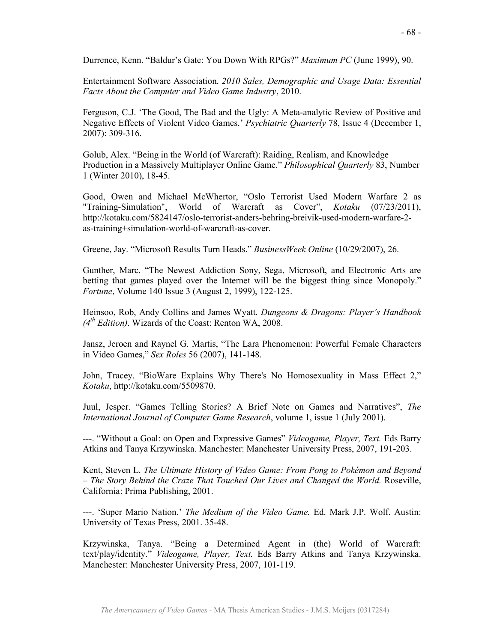Durrence, Kenn. "Baldur's Gate: You Down With RPGs?" *Maximum PC* (June 1999), 90.

Entertainment Software Association. *2010 Sales, Demographic and Usage Data: Essential Facts About the Computer and Video Game Industry*, 2010.

Ferguson, C.J. 'The Good, The Bad and the Ugly: A Meta-analytic Review of Positive and Negative Effects of Violent Video Games.' *Psychiatric Quarterly* 78, Issue 4 (December 1, 2007): 309-316.

Golub, Alex. "Being in the World (of Warcraft): Raiding, Realism, and Knowledge Production in a Massively Multiplayer Online Game." *Philosophical Quarterly* 83, Number 1 (Winter 2010), 18-45.

Good, Owen and Michael McWhertor, "Oslo Terrorist Used Modern Warfare 2 as "Training-Simulation", World of Warcraft as Cover", *Kotaku* (07/23/2011), http://kotaku.com/5824147/oslo-terrorist-anders-behring-breivik-used-modern-warfare-2 as-training+simulation-world-of-warcraft-as-cover.

Greene, Jay. "Microsoft Results Turn Heads." *BusinessWeek Online* (10/29/2007), 26.

Gunther, Marc. "The Newest Addiction Sony, Sega, Microsoft, and Electronic Arts are betting that games played over the Internet will be the biggest thing since Monopoly." *Fortune*, Volume 140 Issue 3 (August 2, 1999), 122-125.

Heinsoo, Rob, Andy Collins and James Wyatt. *Dungeons & Dragons: Player's Handbook (4th Edition)*. Wizards of the Coast: Renton WA, 2008.

Jansz, Jeroen and Raynel G. Martis, "The Lara Phenomenon: Powerful Female Characters in Video Games," *Sex Roles* 56 (2007), 141-148.

John, Tracey. "BioWare Explains Why There's No Homosexuality in Mass Effect 2," *Kotaku*, http://kotaku.com/5509870.

Juul, Jesper. "Games Telling Stories? A Brief Note on Games and Narratives", *The International Journal of Computer Game Research*, volume 1, issue 1 (July 2001).

---. "Without a Goal: on Open and Expressive Games" *Videogame, Player, Text.* Eds Barry Atkins and Tanya Krzywinska. Manchester: Manchester University Press, 2007, 191-203.

Kent, Steven L. *The Ultimate History of Video Game: From Pong to Pokémon and Beyond – The Story Behind the Craze That Touched Our Lives and Changed the World.* Roseville, California: Prima Publishing, 2001.

---. 'Super Mario Nation.' *The Medium of the Video Game.* Ed. Mark J.P. Wolf. Austin: University of Texas Press, 2001. 35-48.

Krzywinska, Tanya. "Being a Determined Agent in (the) World of Warcraft: text/play/identity." *Videogame, Player, Text.* Eds Barry Atkins and Tanya Krzywinska. Manchester: Manchester University Press, 2007, 101-119.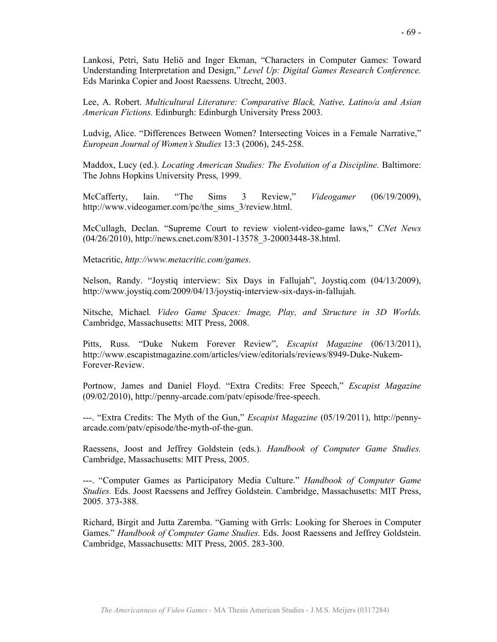Lankosi, Petri, Satu Heliö and Inger Ekman, "Characters in Computer Games: Toward Understanding Interpretation and Design," *Level Up: Digital Games Research Conference.* Eds Marinka Copier and Joost Raessens. Utrecht, 2003.

Lee, A. Robert. *Multicultural Literature: Comparative Black, Native, Latino/a and Asian American Fictions.* Edinburgh: Edinburgh University Press 2003.

Ludvig, Alice. "Differences Between Women? Intersecting Voices in a Female Narrative," *European Journal of Women's Studies* 13:3 (2006), 245-258.

Maddox, Lucy (ed.). *Locating American Studies: The Evolution of a Discipline.* Baltimore: The Johns Hopkins University Press, 1999.

McCafferty, Iain. "The Sims 3 Review," *Videogamer* (06/19/2009), http://www.videogamer.com/pc/the\_sims\_3/review.html.

McCullagh, Declan. "Supreme Court to review violent-video-game laws," *CNet News* (04/26/2010), http://news.cnet.com/8301-13578\_3-20003448-38.html.

Metacritic, *http://www.metacritic.com/games*.

Nelson, Randy. "Joystiq interview: Six Days in Fallujah", Joystiq.com (04/13/2009), http://www.joystiq.com/2009/04/13/joystiq-interview-six-days-in-fallujah.

Nitsche, Michael. *Video Game Spaces: Image, Play, and Structure in 3D Worlds.*  Cambridge, Massachusetts: MIT Press, 2008.

Pitts, Russ. "Duke Nukem Forever Review", *Escapist Magazine* (06/13/2011), http://www.escapistmagazine.com/articles/view/editorials/reviews/8949-Duke-Nukem-Forever-Review.

Portnow, James and Daniel Floyd. "Extra Credits: Free Speech," *Escapist Magazine* (09/02/2010), http://penny-arcade.com/patv/episode/free-speech.

---. "Extra Credits: The Myth of the Gun," *Escapist Magazine* (05/19/2011), http://pennyarcade.com/patv/episode/the-myth-of-the-gun.

Raessens, Joost and Jeffrey Goldstein (eds.). *Handbook of Computer Game Studies.* Cambridge, Massachusetts: MIT Press, 2005.

---. "Computer Games as Participatory Media Culture." *Handbook of Computer Game Studies.* Eds. Joost Raessens and Jeffrey Goldstein. Cambridge, Massachusetts: MIT Press, 2005. 373-388.

Richard, Birgit and Jutta Zaremba. "Gaming with Grrls: Looking for Sheroes in Computer Games." *Handbook of Computer Game Studies.* Eds. Joost Raessens and Jeffrey Goldstein. Cambridge, Massachusetts: MIT Press, 2005. 283-300.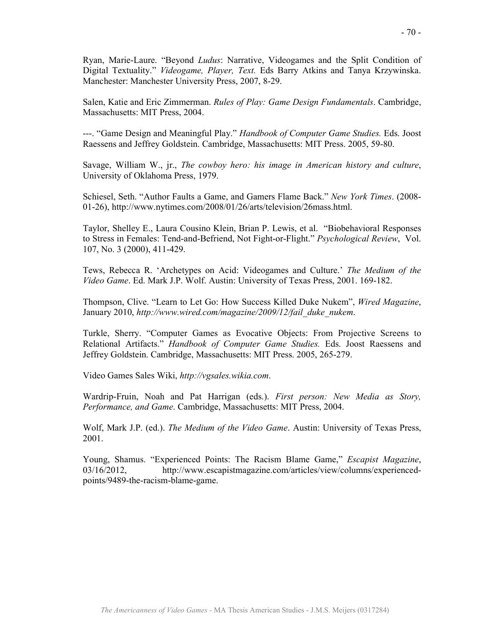Ryan, Marie-Laure. "Beyond *Ludus*: Narrative, Videogames and the Split Condition of Digital Textuality." *Videogame, Player, Text.* Eds Barry Atkins and Tanya Krzywinska. Manchester: Manchester University Press, 2007, 8-29.

Salen, Katie and Eric Zimmerman. *Rules of Play: Game Design Fundamentals*. Cambridge, Massachusetts: MIT Press, 2004.

---. "Game Design and Meaningful Play." *Handbook of Computer Game Studies.* Eds. Joost Raessens and Jeffrey Goldstein. Cambridge, Massachusetts: MIT Press. 2005, 59-80.

Savage, William W., jr., *The cowboy hero: his image in American history and culture*, University of Oklahoma Press, 1979.

Schiesel, Seth. "Author Faults a Game, and Gamers Flame Back." *New York Times*. (2008- 01-26), http://www.nytimes.com/2008/01/26/arts/television/26mass.html.

Taylor, Shelley E., Laura Cousino Klein, Brian P. Lewis, et al. "Biobehavioral Responses to Stress in Females: Tend-and-Befriend, Not Fight-or-Flight." *Psychological Review*, Vol. 107, No. 3 (2000), 411-429.

Tews, Rebecca R. 'Archetypes on Acid: Videogames and Culture.' *The Medium of the Video Game*. Ed. Mark J.P. Wolf. Austin: University of Texas Press, 2001. 169-182.

Thompson, Clive. "Learn to Let Go: How Success Killed Duke Nukem", *Wired Magazine*, January 2010, *http://www.wired.com/magazine/2009/12/fail\_duke\_nukem*.

Turkle, Sherry. "Computer Games as Evocative Objects: From Projective Screens to Relational Artifacts." *Handbook of Computer Game Studies.* Eds. Joost Raessens and Jeffrey Goldstein. Cambridge, Massachusetts: MIT Press. 2005, 265-279.

Video Games Sales Wiki, *http://vgsales.wikia.com*.

Wardrip-Fruin, Noah and Pat Harrigan (eds.). *First person: New Media as Story, Performance, and Game*. Cambridge, Massachusetts: MIT Press, 2004.

Wolf, Mark J.P. (ed.). *The Medium of the Video Game*. Austin: University of Texas Press, 2001.

Young, Shamus. "Experienced Points: The Racism Blame Game," *Escapist Magazine*, 03/16/2012, http://www.escapistmagazine.com/articles/view/columns/experiencedpoints/9489-the-racism-blame-game.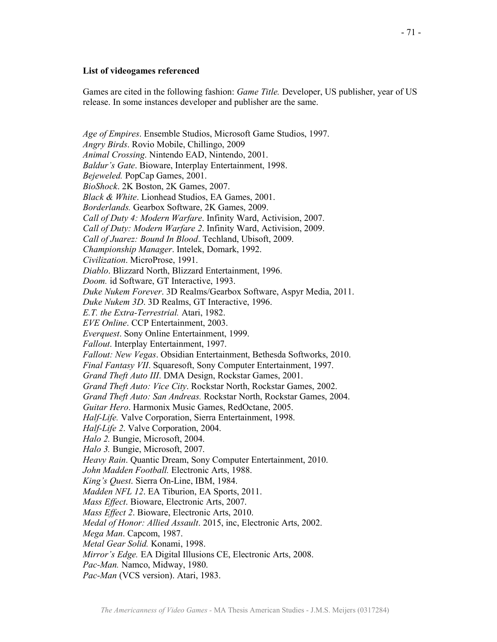# **List of videogames referenced**

Games are cited in the following fashion: *Game Title.* Developer, US publisher, year of US release. In some instances developer and publisher are the same.

*Age of Empires*. Ensemble Studios, Microsoft Game Studios, 1997. *Angry Birds*. Rovio Mobile, Chillingo, 2009 *Animal Crossing*. Nintendo EAD, Nintendo, 2001. *Baldur's Gate*. Bioware, Interplay Entertainment, 1998. *Bejeweled.* PopCap Games, 2001. *BioShock*. 2K Boston, 2K Games, 2007. *Black & White*. Lionhead Studios, EA Games, 2001. *Borderlands.* Gearbox Software, 2K Games, 2009. *Call of Duty 4: Modern Warfare*. Infinity Ward, Activision, 2007. *Call of Duty: Modern Warfare 2*. Infinity Ward, Activision, 2009. *Call of Juarez: Bound In Blood*. Techland, Ubisoft, 2009. *Championship Manager*. Intelek, Domark, 1992. *Civilization*. MicroProse, 1991. *Diablo*. Blizzard North, Blizzard Entertainment, 1996. *Doom.* id Software, GT Interactive, 1993. *Duke Nukem Forever*. 3D Realms/Gearbox Software, Aspyr Media, 2011. *Duke Nukem 3D*. 3D Realms, GT Interactive, 1996. *E.T. the Extra-Terrestrial.* Atari, 1982. *EVE Online*. CCP Entertainment, 2003. *Everquest*. Sony Online Entertainment, 1999. *Fallout*. Interplay Entertainment, 1997. *Fallout: New Vegas*. Obsidian Entertainment, Bethesda Softworks, 2010. *Final Fantasy VII*. Squaresoft, Sony Computer Entertainment, 1997. *Grand Theft Auto III*. DMA Design, Rockstar Games, 2001. *Grand Theft Auto: Vice City*. Rockstar North, Rockstar Games, 2002. *Grand Theft Auto: San Andreas.* Rockstar North, Rockstar Games, 2004. *Guitar Hero*. Harmonix Music Games, RedOctane, 2005. *Half-Life.* Valve Corporation, Sierra Entertainment, 1998. *Half-Life 2*. Valve Corporation, 2004. *Halo 2.* Bungie, Microsoft, 2004. *Halo 3.* Bungie, Microsoft, 2007. *Heavy Rain*. Quantic Dream, Sony Computer Entertainment, 2010. *John Madden Football.* Electronic Arts, 1988. *King's Quest*. Sierra On-Line, IBM, 1984. *Madden NFL 12*. EA Tiburion, EA Sports, 2011. *Mass Effect*. Bioware, Electronic Arts, 2007. *Mass Effect 2*. Bioware, Electronic Arts, 2010. *Medal of Honor: Allied Assault*. 2015, inc, Electronic Arts, 2002. *Mega Man*. Capcom, 1987. *Metal Gear Solid.* Konami, 1998. *Mirror's Edge.* EA Digital Illusions CE, Electronic Arts, 2008. *Pac-Man.* Namco, Midway, 1980.

*Pac-Man* (VCS version). Atari, 1983.